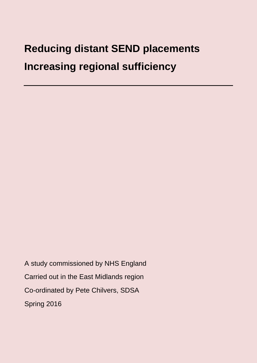# **Reducing distant SEND placements Increasing regional sufficiency**

A study commissioned by NHS England Carried out in the East Midlands region Co-ordinated by Pete Chilvers, SDSA Spring 2016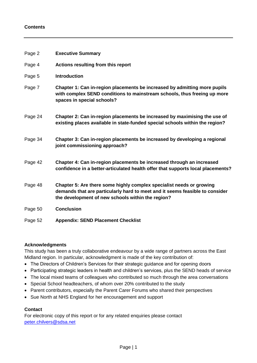#### **Contents**

| Page 2  | <b>Executive Summary</b>                                                                                                                                                                                  |
|---------|-----------------------------------------------------------------------------------------------------------------------------------------------------------------------------------------------------------|
| Page 4  | Actions resulting from this report                                                                                                                                                                        |
| Page 5  | <b>Introduction</b>                                                                                                                                                                                       |
| Page 7  | Chapter 1: Can in-region placements be increased by admitting more pupils<br>with complex SEND conditions to mainstream schools, thus freeing up more<br>spaces in special schools?                       |
| Page 24 | Chapter 2: Can in-region placements be increased by maximising the use of<br>existing places available in state-funded special schools within the region?                                                 |
| Page 34 | Chapter 3: Can in-region placements be increased by developing a regional<br>joint commissioning approach?                                                                                                |
| Page 42 | Chapter 4: Can in-region placements be increased through an increased<br>confidence in a better-articulated health offer that supports local placements?                                                  |
| Page 48 | Chapter 5: Are there some highly complex specialist needs or growing<br>demands that are particularly hard to meet and it seems feasible to consider<br>the development of new schools within the region? |
| Page 50 | <b>Conclusion</b>                                                                                                                                                                                         |
| Page 52 | <b>Appendix: SEND Placement Checklist</b>                                                                                                                                                                 |

#### **Acknowledgments**

This study has been a truly collaborative endeavour by a wide range of partners across the East Midland region. In particular, acknowledgment is made of the key contribution of:

- The Directors of Children's Services for their strategic guidance and for opening doors
- Participating strategic leaders in health and children's services, plus the SEND heads of service
- The local mixed teams of colleagues who contributed so much through the area conversations
- Special School headteachers, of whom over 20% contributed to the study
- Parent contributors, especially the Parent Carer Forums who shared their perspectives
- Sue North at NHS England for her encouragement and support

## **Contact**

For electronic copy of this report or for any related enquiries please contact [peter.chilvers@sdsa.net](mailto:peter.chilvers@sdsa.net)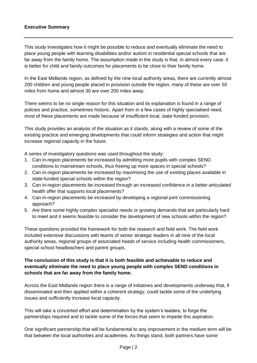#### **Executive Summary**

This study investigates how it might be possible to reduce and eventually eliminate the need to place young people with learning disabilities and/or autism in residential special schools that are far away from the family home. The assumption made in the study is that, in almost every case, it is better for child and family outcomes for placements to be close to their family home.

In the East Midlands region, as defined by the nine local authority areas, there are currently almost 200 children and young people placed in provision outside the region, many of these are over 50 miles from home and almost 30 are over 200 miles away.

There seems to be no single reason for this situation and its explanation is found in a range of policies and practice, sometimes historic. Apart from in a few cases of highly specialised need, most of these placements are made because of insufficient local, state-funded provision.

This study provides an analysis of the situation as it stands, along with a review of some of the existing practice and emerging developments that could inform strategies and action that might increase regional capacity in the future.

A series of investigatory questions was used throughout the study:

- 1. Can in-region placements be increased by admitting more pupils with complex SEND conditions to mainstream schools, thus freeing up more spaces in special schools?
- 2. Can in-region placements be increased by maximising the use of existing places available in state-funded special schools within the region?
- 3. Can in-region placements be increased through an increased confidence in a better-articulated health offer that supports local placements?
- 4. Can in-region placements be increased by developing a regional joint commissioning approach?
- 5. Are there some highly complex specialist needs or growing demands that are particularly hard to meet and it seems feasible to consider the development of new schools within the region?

These questions provided the framework for both the research and field work. The field work included extensive discussions with teams of senior strategic leaders in all nine of the local authority areas, regional groups of associated heads of service including health commissioners, special school headteachers and parent groups.

## **The conclusion of this study is that it is both feasible and achievable to reduce and eventually eliminate the need to place young people with complex SEND conditions in schools that are far away from the family home.**

Across the East Midlands region there is a range of initiatives and developments underway that, if disseminated and then applied within a coherent strategy, could tackle some of the underlying issues and sufficiently increase local capacity.

This will take a concerted effort and determination by the system's leaders, to forge the partnerships required and to tackle some of the forces that seem to impede this aspiration.

One significant partnership that will be fundamental to any improvement in the medium term will be that between the local authorities and academies. As things stand, both partners have some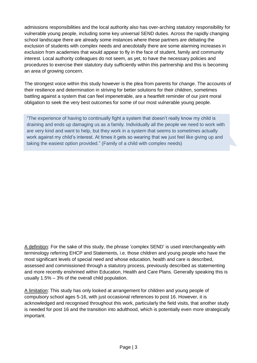admissions responsibilities and the local authority also has over-arching statutory responsibility for vulnerable young people, including some key universal SEND duties. Across the rapidly changing school landscape there are already some instances where these partners are debating the exclusion of students with complex needs and anecdotally there are some alarming increases in exclusion from academies that would appear to fly in the face of student, family and community interest. Local authority colleagues do not seem, as yet, to have the necessary policies and procedures to exercise their statutory duty sufficiently within this partnership and this is becoming an area of growing concern.

The strongest voice within this study however is the plea from parents for change. The accounts of their resilience and determination in striving for better solutions for their children, sometimes battling against a system that can feel impenetrable, are a heartfelt reminder of our joint moral obligation to seek the very best outcomes for some of our most vulnerable young people.

"The experience of having to continually fight a system that doesn't really know my child is draining and ends up damaging us as a family. Individually all the people we need to work with are very kind and want to help, but they work in a system that seems to sometimes actually work against my child's interest. At times it gets so wearing that we just feel like giving up and taking the easiest option provided." (Family of a child with complex needs)

A definition: For the sake of this study, the phrase 'complex SEND' is used interchangeably with terminology referring EHCP and Statements, i.e. those children and young people who have the most significant levels of special need and whose education, health and care is described, assessed and commissioned through a statutory process, previously described as statementing and more recently enshrined within Education, Health and Care Plans. Generally speaking this is usually 1.5% – 3% of the overall child population.

A limitation: This study has only looked at arrangement for children and young people of compulsory school ages 5-16, with just occasional references to post 16. However, it is acknowledged and recognised throughout this work, particularly the field visits, that another study is needed for post 16 and the transition into adulthood, which is potentially even more strategically important.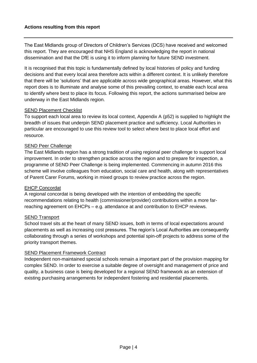The East Midlands group of Directors of Children's Services (DCS) have received and welcomed this report. They are encouraged that NHS England is acknowledging the report in national dissemination and that the DfE is using it to inform planning for future SEND investment.

It is recognised that this topic is fundamentally defined by local histories of policy and funding decisions and that every local area therefore acts within a different context. It is unlikely therefore that there will be 'solutions' that are applicable across wide geographical areas. However, what this report does is to illuminate and analyse some of this prevailing context, to enable each local area to identify where best to place its focus. Following this report, the actions summarised below are underway in the East Midlands region.

#### SEND Placement Checklist

To support each local area to review its local context, Appendix A (p52) is supplied to highlight the breadth of issues that underpin SEND placement practice and sufficiency. Local Authorities in particular are encouraged to use this review tool to select where best to place local effort and resource.

## SEND Peer Challenge

The East Midlands region has a strong tradition of using regional peer challenge to support local improvement. In order to strengthen practice across the region and to prepare for inspection, a programme of SEND Peer Challenge is being implemented. Commencing in autumn 2016 this scheme will involve colleagues from education, social care and health, along with representatives of Parent Carer Forums, working in mixed groups to review practice across the region.

#### EHCP Concordat

A regional concordat is being developed with the intention of embedding the specific recommendations relating to health (commissioner/provider) contributions within a more farreaching agreement on EHCPs – e.g. attendance at and contribution to EHCP reviews.

## SEND Transport

School travel sits at the heart of many SEND issues, both in terms of local expectations around placements as well as increasing cost pressures. The region's Local Authorities are consequently collaborating through a series of workshops and potential spin-off projects to address some of the priority transport themes.

#### SEND Placement Framework Contract

Independent non-maintained special schools remain a important part of the provision mapping for complex SEND. In order to exercise a suitable degree of oversight and management of price and quality, a business case is being developed for a regional SEND framework as an extension of existing purchasing arrangements for independent fostering and residential placements.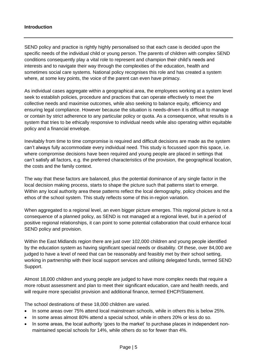#### **Introduction**

SEND policy and practice is rightly highly personalised so that each case is decided upon the specific needs of the individual child or young person. The parents of children with complex SEND conditions consequently play a vital role to represent and champion their child's needs and interests and to navigate their way through the complexities of the education, health and sometimes social care systems. National policy recognises this role and has created a system where, at some key points, the voice of the parent can even have primacy.

As individual cases aggregate within a geographical area, the employees working at a system level seek to establish policies, procedure and practices that can operate effectively to meet the collective needs and maximise outcomes, while also seeking to balance equity, efficiency and ensuring legal compliance. However because the situation is needs-driven it is difficult to manage or contain by strict adherence to any particular policy or quota. As a consequence, what results is a system that tries to be ethically responsive to individual needs while also operating within equitable policy and a financial envelope.

Inevitably from time to time compromise is required and difficult decisions are made as the system can't always fully accommodate every individual need. This study is focussed upon this space, i.e. where compromise decisions have been required and young people are placed in settings that can't satisfy all factors, e.g. the preferred characteristics of the provision, the geographical location, the costs and the family context.

The way that these factors are balanced, plus the potential dominance of any single factor in the local decision making process, starts to shape the picture such that patterns start to emerge. Within any local authority area these patterns reflect the local demography, policy choices and the ethos of the school system. This study reflects some of this in-region variation.

When aggregated to a regional level, an even bigger picture emerges. This regional picture is not a consequence of a planned policy, as SEND is not managed at a regional level, but in a period of positive regional relationships, it can point to some potential collaboration that could enhance local SEND policy and provision.

Within the East Midlands region there are just over 102,000 children and young people identified by the education system as having significant special needs or disability. Of these, over 84,000 are judged to have a level of need that can be reasonably and feasibly met by their school setting, working in partnership with their local support services and utilising delegated funds, termed SEND Support.

Almost 18,000 children and young people are judged to have more complex needs that require a more robust assessment and plan to meet their significant education, care and health needs, and will require more specialist provision and additional finance, termed EHCP/Statement.

The school destinations of these 18,000 children are varied.

- In some areas over 75% attend local mainstream schools, while in others this is below 25%.
- In some areas almost 80% attend a special school, while in others 20% or less do so.
- In some areas, the local authority 'goes to the market' to purchase places in independent nonmaintained special schools for 14%, while others do so for fewer than 4%.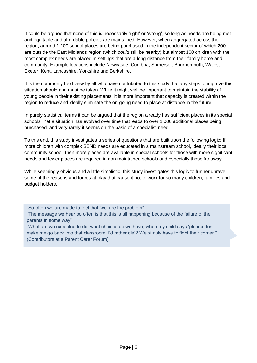It could be argued that none of this is necessarily 'right' or 'wrong', so long as needs are being met and equitable and affordable policies are maintained. However, when aggregated across the region, around 1,100 school places are being purchased in the independent sector of which 200 are outside the East Midlands region (which *could* still be nearby) but almost 100 children with the most complex needs are placed in settings that are a long distance from their family home and community. Example locations include Newcastle, Cumbria, Somerset, Bournemouth, Wales, Exeter, Kent, Lancashire, Yorkshire and Berkshire.

It is the commonly held view by all who have contributed to this study that any steps to improve this situation should and must be taken. While it might well be important to maintain the stability of young people in their existing placements, it is more important that capacity is created within the region to reduce and ideally eliminate the on-going need to place at distance in the future.

In purely statistical terms it can be argued that the region already has sufficient places in its special schools. Yet a situation has evolved over time that leads to over 1,000 additional places being purchased, and very rarely it seems on the basis of a specialist need.

To this end, this study investigates a series of questions that are built upon the following logic: If more children with complex SEND needs are educated in a mainstream school, ideally their local community school, then more places are available in special schools for those with more significant needs and fewer places are required in non-maintained schools and especially those far away.

While seemingly obvious and a little simplistic, this study investigates this logic to further unravel some of the reasons and forces at play that cause it not to work for so many children, families and budget holders.

"So often we are made to feel that 'we' are the problem"

"The message we hear so often is that this is all happening because of the failure of the parents in some way"

"What are we expected to do, what choices do we have, when my child says 'please don't make me go back into that classroom, I'd rather die'? We simply have to fight their corner." (Contributors at a Parent Carer Forum)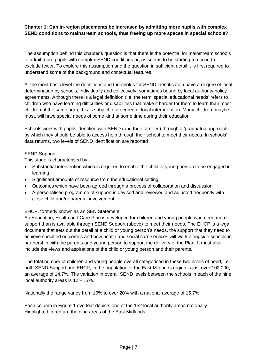**Chapter 1: Can in-region placements be increased by admitting more pupils with complex SEND conditions to mainstream schools, thus freeing up more spaces in special schools?** 

The assumption behind this chapter's question is that there is the potential for mainstream schools to admit more pupils with complex SEND conditions or, as seems to be starting to occur, to exclude fewer. To explore this assumption and the question in sufficient detail it is first required to understand some of the background and contextual features.

At the most basic level the definitions and thresholds for SEND identification have a degree of local determination by schools, individually and collectively, sometimes bound by local authority policy agreements. Although there is a legal definition (i.e. the term 'special educational needs' refers to children who have learning difficulties or disabilities that make it harder for them to learn than most children of the same age), this is subject to a degree of local interpretation. Many children, maybe most, will have special needs of some kind at some time during their education.

Schools work with pupils identified with SEND (and their families) through a 'graduated approach' by which they should be able to access help through their school to meet their needs. In schools' data returns, two levels of SEND identification are reported

#### **SEND Support**

This stage is characterised by

- Substantial intervention which is required to enable the child or young person to be engaged in learning
- Significant amounts of resource from the educational setting
- Outcomes which have been agreed through a process of collaboration and discussion
- A personalised programme of support is devised and reviewed and adjusted frequently with close child and/or parental involvement.

## EHCP, formerly known as an SEN Statement

An Education, Health and Care Plan is developed for children and young people who need more support than is available through SEND Support (above) to meet their needs. The EHCP is a legal document that sets out the detail of a child or young person's needs, the support that they need to achieve specified outcomes and how health and social care services will work alongside schools in partnership with the parents and young person to support the delivery of the Plan. It must also include the views and aspirations of the child or young person and their parents.

The total number of children and young people overall categorised in these two levels of need, i.e. both SEND Support and EHCP, in the population of the East Midlands region is just over 102,000, an average of 14.7%. The variation in overall SEND levels between the schools in each of the nine local authority areas is 12 – 17%.

Nationally the range varies from 10% to over 20% with a national average of 15.7%

Each column in Figure 1 overleaf depicts one of the 152 local authority areas nationally. Highlighted in red are the nine areas of the East Midlands.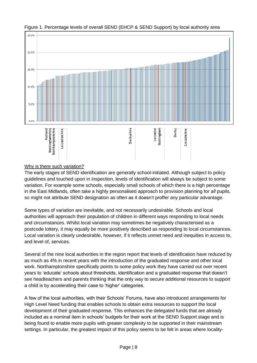

Figure 1. Percentage levels of overall SEND (EHCP & SEND Support) by local authority area

# Why is there such variation?

The early stages of SEND identification are generally school-initiated. Although subject to policy guidelines and touched upon in inspection, levels of identification will always be subject to some variation. For example some schools, especially small schools of which there is a high percentage in the East Midlands, often take a highly personalised approach to provision planning for *all* pupils, so might not attribute SEND designation as often as it doesn't proffer any particular advantage.

Some types of variation are inevitable, and not necessarily undesirable. Schools and local authorities will approach their population of children in different ways responding to local needs and circumstances. Whilst local variation may sometimes be negatively characterised as a postcode lottery, it may equally be more positively described as responding to local circumstances. Local variation is clearly undesirable, however, if it reflects unmet need and inequities in access to, and level of, services.

Several of the nine local authorities in the region report that levels of identification have reduced by as much as 4% in recent years with the introduction of the graduated response and other local work. Northamptonshire specifically points to some policy work they have carried out over recent years to 'educate' schools about thresholds, identification and a graduated response that doesn't see headteachers and parents thinking that the only way to secure additional resources to support a child is by accelerating their case to 'higher' categories.

A few of the local authorities, with their Schools' Forums, have also introduced arrangements for High Level Need funding that enables schools to obtain extra resources to support the local development of their graduated response. This enhances the delegated funds that are already included as a nominal item in schools' budgets for their work at the SEND Support stage and is being found to enable more pupils with greater complexity to be supported in their mainstream settings. In particular, the greatest impact of this policy seems to be felt in areas where locality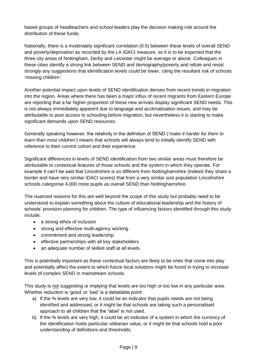based groups of headteachers and school leaders play the decision making role around the distribution of these funds.

Nationally, there is a moderately significant correlation (0.5) between these levels of overall SEND and poverty/deprivation as recorded by the LA IDACI measure, so it is to be expected that the three city areas of Nottingham, Derby and Leicester might be average or above. Colleagues in these cities identify a strong link between SEND and demography/poverty and refute and resist strongly any suggestions that identification levels could be lower, citing the resultant risk of schools 'missing children'.

Another potential impact upon levels of SEND identification derives from recent trends in migration into the region. Areas where there has been a major influx of recent migrants from Eastern Europe are reporting that a far higher proportion of these new arrivals display significant SEND needs. This is not always immediately apparent due to language and acclimatisation issues, and may be attributable to poor access to schooling before migration, but nevertheless it is starting to make significant demands upon SEND resources.

Generally speaking however, the relativity in the definition of SEND ('*make it harder for them to learn than most children'*) means that schools will always tend to initially identify SEND with reference to their current cohort and their experience.

Significant differences in levels of SEND identification from two similar areas must therefore be attributable to contextual features of those schools and the system in which they operate. For example it can't be said that Lincolnshire is so different from Nottinghamshire (indeed they share a border and have very similar IDACI scores) that from a very similar size population Lincolnshire schools categorise 4,000 more pupils as overall SEND than Nottinghamshire.

The nuanced reasons for this are well beyond the scope of this study but probably need to be understood to explain something about the culture of educational leadership and the history of schools' provision planning for children. The type of influencing factors identified through this study include:

- a strong ethos of inclusion
- strong and effective multi-agency working
- commitment and strong leadership
- effective partnerships with all key stakeholders
- an adequate number of skilled staff at all levels.

This is potentially important as these contextual factors are likely to be ones that come into play and potentially affect the extent to which future local solutions might be found in trying to increase levels of complex SEND in mainstream schools.

This study is *not* suggesting or implying that levels are too high or too low in any particular area. Whether reduction is 'good' or 'bad' is a debatable point:

- a) If the % levels are very low, it could be an indicator that pupils needs are not being identified and addressed, or it might be that schools are taking such a personalised approach to all children that the 'label' is not used.
- b) If the % levels are very high, it could be an indicator of a system in which the currency of the identification holds particular utilitarian value, or it might be that schools hold a poor understanding of definitions and thresholds.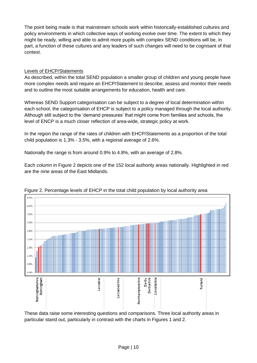The point being made is that mainstream schools work within historically-established cultures and policy environments in which collective ways of working evolve over time. The extent to which they might be ready, willing and able to admit more pupils with complex SEND conditions will be, in part, a function of these cultures and any leaders of such changes will need to be cognisant of that context.

#### Levels of EHCP/Statements

As described, within the total SEND population a smaller group of children and young people have more complex needs and require an EHCP/Statement to describe, assess and monitor their needs and to outline the most suitable arrangements for education, health and care.

Whereas SEND Support categorisation can be subject to a degree of local determination within each school, the categorisation of EHCP is subject to a policy managed through the local authority. Although still subject to the 'demand pressures' that might come from families and schools, the level of ENCP is a much closer reflection of area-wide, strategic policy at work.

In the region the range of the rates of children with EHCP/Statements as a proportion of the total child population is 1.3% - 3.5%, with a regional average of 2.6%.

Nationally the range is from around 0.9% to 4.8%, with an average of 2.8%.

Each column in Figure 2 depicts one of the 152 local authority areas nationally. Highlighted in red are the nine areas of the East Midlands.



## Figure 2. Percentage levels of EHCP in the total child population by local authority area

These data raise some interesting questions and comparisons. Three local authority areas in particular stand out, particularly in contrast with the charts in Figures 1 and 2.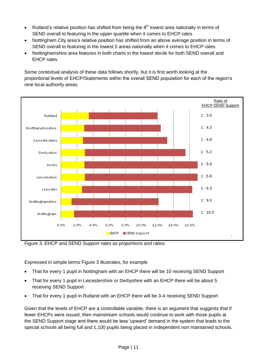- Rutland's relative position has shifted from being the  $8<sup>th</sup>$  lowest area nationally in terms of SEND overall to featuring in the upper quartile when it comes to EHCP rates
- Nottingham City area's relative position has shifted from an above average position in terms of SEND overall to featuring in the lowest 5 areas nationally when it comes to EHCP rates
- Nottinghamshire area features in both charts in the lowest decile for both SEND overall and EHCP rates

Some contextual analysis of these data follows shortly, but it is first worth looking at the proportional levels of EHCP/Statements within the overall SEND population for each of the region's nine local authority areas.



Figure 3. EHCP and SEND Support rates as proportions and ratios

Expressed in simple terms Figure 3 illustrates, for example

- That for every 1 pupil in Nottingham with an EHCP there will be 10 receiving SEND Support
- That for every 1 pupil in Leicestershire or Derbyshire with an EHCP there will be about 5 receiving SEND Support
- That for every 1 pupil in Rutland with an EHCP there will be 3-4 receiving SEND Support

Given that the levels of EHCP are a controllable variable, there is an argument that suggests that if fewer EHCPs were issued, then mainstream schools would continue to work with those pupils at the SEND Support stage and there would be less 'upward' demand in the system that leads to the special schools all being full and 1,100 pupils being placed in independent non maintained schools.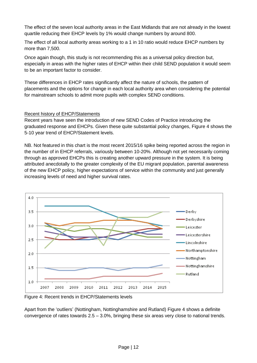The effect of the seven local authority areas in the East Midlands that are not already in the lowest quartile reducing their EHCP levels by 1% would change numbers by around 800.

The effect of all local authority areas working to a 1 in 10 ratio would reduce EHCP numbers by more than 7,500.

Once again though, this study is not recommending this as a universal policy direction but, especially in areas with the higher rates of EHCP within their child SEND population it would seem to be an important factor to consider.

These differences in EHCP rates significantly affect the nature of schools, the pattern of placements and the options for change in each local authority area when considering the potential for mainstream schools to admit more pupils with complex SEND conditions.

## Recent history of EHCP/Statements

Recent years have seen the introduction of new SEND Codes of Practice introducing the graduated response and EHCPs. Given these quite substantial policy changes, Figure 4 shows the 5-10 year trend of EHCP/Statement levels.

NB. Not featured in this chart is the most recent 2015/16 spike being reported across the region in the number of in EHCP referrals, variously between 10-20%. Although not yet necessarily coming through as approved EHCPs this is creating another upward pressure in the system. It is being attributed anecdotally to the greater complexity of the EU migrant population, parental awareness of the new EHCP policy, higher expectations of service within the community and just generally increasing levels of need and higher survival rates.



Figure 4: Recent trends in EHCP/Statements levels

Apart from the 'outliers' (Nottingham, Nottinghamshire and Rutland) Figure 4 shows a definite convergence of rates towards  $2.5 - 3.0\%$ , bringing these six areas very close to national trends.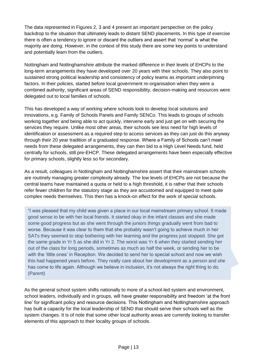The data represented in Figures 2, 3 and 4 present an important perspective on the policy backdrop to the situation that ultimately leads to distant SEND placements. In this type of exercise there is often a tendency to ignore or discard the outliers and assert that 'normal' is what the majority are doing. However, in the context of this study there are some key points to understand and potentially learn from the outliers.

Nottingham and Nottinghamshire attribute the marked difference in their levels of EHCPs to the long-term arrangements they have developed over 20 years with their schools. They also point to sustained strong political leadership and consistency of policy teams as important underpinning factors. In their policies, started before local government re-organisation when they were a combined authority, significant areas of SEND responsibility, decision-making and resources were delegated out to local families of schools.

This has developed a way of working where schools look to develop local solutions and innovations, e.g. Family of Schools Panels and Family SENCo. This leads to groups of schools working together and being able to act quickly, intervene early and just get on with securing the services they require. Unlike most other areas, their schools see less need for high levels of identification or assessment as a required step to access services as they can just do this anyway through their 20 year tradition of a graduated response. Where a Family of Schools can't meet needs from these delegated arrangements, they can then bid to a High Level Needs fund, held centrally for schools, still pre-EHCP. These delegated arrangements have been especially effective for primary schools, slightly less so for secondary.

As a result, colleagues in Nottingham and Nottinghamshire assert that their mainstream schools are routinely managing greater complexity already. The low levels of EHCPs are not because the central teams have maintained a quota or held to a high threshold, it is rather that their schools refer fewer children for the statutory stage as they are accustomed and equipped to meet quite complex needs themselves. This then has a knock-on effect for the work of special schools.

"I was pleased that my child was given a place in our local mainstream primary school. It made good sense to be with her local friends. It started okay in the infant classes and she made some good progress but as she went through the juniors things gradually went from bad to worse. Because it was clear to them that she probably wasn't going to achieve much in her SATs they seemed to stop bothering with her learning and the progress just stopped. She got the same grade in Yr 5 as she did in Yr 2. The worst was Yr 6 when they started sending her out of the class for long periods, sometimes as much as half the week, or sending her to be with the 'little ones' in Reception. We decided to send her to special school and now we wish this had happened years before. They really care about her development as a person and she has come to life again. Although we believe in inclusion, it's not always the right thing to do. (Parent)

As the general school system shifts nationally to more of a school-led system and environment, school leaders, individually and in groups, will have greater responsibility and freedom 'at the front line' for significant policy and resource decisions. This Nottingham and Nottinghamshire approach has built a capacity for the local leadership of SEND that should serve their schools well as the system changes. It is of note that some other local authority areas are currently looking to transfer elements of this approach to their locality groups of schools.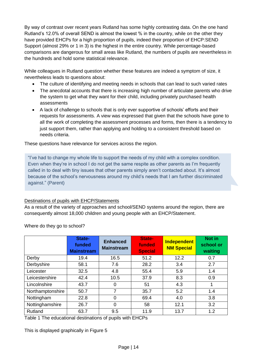By way of contrast over recent years Rutland has some highly contrasting data. On the one hand Rutland's 12.0% of overall SEND is almost the lowest % in the country, while on the other they have provided EHCPs for a high proportion of pupils, indeed their proportion of EHCP:SEND Support (almost 29% or 1 in 3) is the highest in the entire country. While percentage-based comparisons are dangerous for small areas like Rutland, the numbers of pupils are nevertheless in the hundreds and hold some statistical relevance.

While colleagues in Rutland question whether these features are indeed a symptom of size, it nevertheless leads to questions about:

- The culture of identifying and meeting needs in schools that can lead to such varied rates
- The anecdotal accounts that there is increasing high number of articulate parents who drive the system to get what they want for their child, including privately purchased health assessments
- A lack of challenge to schools that is only ever supportive of schools' efforts and their requests for assessments. A view was expressed that given that the schools have gone to all the work of completing the assessment processes and forms, then there is a tendency to just support them, rather than applying and holding to a consistent threshold based on needs criteria.

These questions have relevance for services across the region.

"I've had to change my whole life to support the needs of my child with a complex condition. Even when they're in school I do not get the same respite as other parents as I'm frequently called in to deal with tiny issues that other parents simply aren't contacted about. It's almost because of the school's nervousness around my child's needs that I am further discriminated against." (Parent)

## Destinations of pupils with EHCP/Statements

As a result of the variety of approaches and school/SEND systems around the region, there are consequently almost 18,000 children and young people with an EHCP/Statement.

|                  | State-<br>funded<br><b>Mainstream</b> | <b>Enhanced</b><br><b>Mainstream</b> | State-<br>funded<br><b>Special</b> | <b>Independent</b><br><b>NM Special</b> | Not in<br>school or<br>waiting |
|------------------|---------------------------------------|--------------------------------------|------------------------------------|-----------------------------------------|--------------------------------|
| Derby            | 19.4                                  | 16.5                                 | 51.2                               | 12.2                                    | 0.7                            |
| Derbyshire       | 58.1                                  | 7.6                                  | 28.2                               | 3.4                                     | 2.7                            |
| Leicester        | 32.5                                  | 4.8                                  | 55.4                               | 5.9                                     | 1.4                            |
| Leicestershire   | 42.4                                  | 10.5                                 | 37.9                               | 8.3                                     | 0.9                            |
| Lincolnshire     | 43.7                                  | 0                                    | 51                                 | 4.3                                     |                                |
| Northamptonshire | 50.7                                  | 7                                    | 35.7                               | 5.2                                     | 1.4                            |
| Nottingham       | 22.8                                  | $\Omega$                             | 69.4                               | 4.0                                     | 3.8                            |
| Nottinghamshire  | 26.7                                  | $\Omega$                             | 58                                 | 12.1                                    | 3.2                            |
| Rutland          | 63.7                                  | 9.5                                  | 11.9                               | 13.7                                    | 1.2                            |

Where do they go to school?

Table 1 The educational destinations of pupils with EHCPs

This is displayed graphically in Figure 5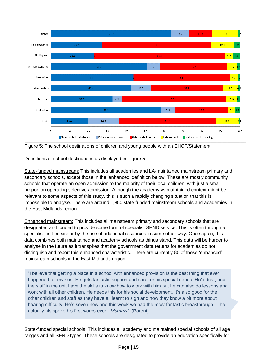

Figure 5: The school destinations of children and young people with an EHCP/Statement

Definitions of school destinations as displayed in Figure 5:

State-funded mainstream: This includes all academies and LA-maintained mainstream primary and secondary schools, except those in the 'enhanced' definition below. These are mostly community schools that operate an open admission to the majority of their local children, with just a small proportion operating selective admission. Although the academy vs maintained context might be relevant to some aspects of this study, this is such a rapidly changing situation that this is impossible to analyse. There are around 1,850 state-funded mainstream schools and academies in the East Midlands region.

Enhanced mainstream: This includes all mainstream primary and secondary schools that are designated and funded to provide some form of specialist SEND service. This is often through a specialist unit on site or by the use of additional resources in some other way. Once again, this data combines both maintained and academy schools as things stand. This data will be harder to analyse in the future as it transpires that the government data returns for academies do not distinguish and report this enhanced characteristic. There are currently 80 of these 'enhanced' mainstream schools in the East Midlands region.

"I believe that getting a place in a school with enhanced provision is the best thing that ever happened for my son. He gets fantastic support and care for his special needs. He's deaf, and the staff in the unit have the skills to know how to work with him but he can also do lessons and work with all other children. He needs this for his social development. It's also good for the other children and staff as they have all learnt to sign and now they know a bit more about hearing difficulty. He's seven now and this week we had the most fantastic breakthrough ... he actually his spoke his first words ever, "*Mummy".* (Parent)

State-funded special schools: This includes all academy and maintained special schools of all age ranges and all SEND types. These schools are designated to provide an education specifically for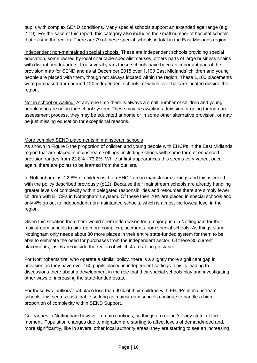pupils with complex SEND conditions. Many special schools support an extended age range (e.g. 2-19). For the sake of this report, this category also includes the small number of hospital schools that exist in the region. There are 79 of these special schools in total in the East Midlands region.

Independent non-maintained special schools: These are independent schools providing special education, some owned by local charitable specialist causes, others parts of large business chains with distant headquarters. For several years these schools have been an important part of the provision map for SEND and as at December 2015 over 1,100 East Midlands' children and young people are placed with them, though not always located within the region. These 1,100 placements were purchased from around 120 independent schools, of which over half are located outside the region.

Not in school or waiting: At any one time there is always a small number of children and young people who are not in the school system. These may be awaiting admission or going through an assessment process, they may be educated at home or in some other alternative provision, or may be just missing education for exceptional reasons.

## More complex SEND placements in mainstream schools

As shown in Figure 5 the proportion of children and young people with EHCPs in the East Midlands region that are placed in mainstream settings, including schools with some form of enhanced provision ranges from 22.8% - 73.2%. While at first appearances this seems very varied, once again, there are points to be learned from the outliers.

In Nottingham just 22.8% of children with an EHCP are in mainstream settings and this is linked with the policy described previously (p12). Because their mainstream schools are already handling greater levels of complexity within delegated responsibilities and resources there are simply fewer children with EHCPs in Nottingham's system. Of these then 70% are placed in special schools and only 4% go out to independent non-maintained schools, which is almost the lowest level in the region.

Given this situation then there would seem little reason for a major push in Nottingham for their mainstream schools to pick up more complex placements from special schools. As things stand, Nottingham only needs about 30 more places in their entire state-funded system for them to be able to eliminate the need for purchases from the independent sector. Of these 30 current placements, just 6 are outside the region of which 4 are at long distance.

For Nottinghamshire, who operate a similar policy, there is a slightly more significant gap in provision as they have over 160 pupils placed in independent settings. This is leading to discussions there about a development in the role that their special schools play and investigating other ways of increasing the state-funded estate.

For these two 'outliers' that place less than 30% of their children with EHCPs in mainstream schools, this seems sustainable so long as mainstream schools continue to handle a high proportion of complexity within SEND Support.

Colleagues in Nottingham however remain cautious, as things are not in 'steady state' at the moment. Population changes due to migration are starting to affect levels of demand/need and, more significantly, like in several other local authority areas, they are starting to see an increasing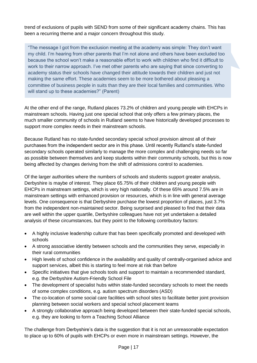trend of exclusions of pupils with SEND from some of their significant academy chains. This has been a recurring theme and a major concern throughout this study.

"The message I got from the exclusion meeting at the academy was simple: They don't want my child. I'm hearing from other parents that I'm not alone and others have been excluded too because the school won't make a reasonable effort to work with children who find it difficult to work to their narrow approach. I've met other parents who are saying that since converting to academy status their schools have changed their attitude towards their children and just not making the same effort. These academies seem to be more bothered about pleasing a committee of business people in suits than they are their local families and communities. Who will stand up to these academies?" (Parent)

At the other end of the range, Rutland places 73.2% of children and young people with EHCPs in mainstream schools. Having just one special school that only offers a few primary places, the much smaller community of schools in Rutland seems to have historically developed processes to support more complex needs in their mainstream schools.

Because Rutland has no state-funded secondary special school provision almost all of their purchases from the independent sector are in this phase. Until recently Rutland's state-funded secondary schools operated similarly to manage the more complex and challenging needs so far as possible between themselves and keep students within their community schools, but this is now being affected by changes deriving from the shift of admissions control to academies.

Of the larger authorities where the numbers of schools and students support greater analysis, Derbyshire is maybe of interest. They place 65.75% of their children and young people with EHCPs in mainstream settings, which is very high nationally. Of these 65% around 7.5% are in mainstream settings with enhanced provision or resources, which is in line with general average levels. One consequence is that Derbyshire purchase the lowest proportion of places, just 3.7% from the independent non-maintained sector. Being surprised and pleased to find that their data are well within the upper quartile, Derbyshire colleagues have not yet undertaken a detailed analysis of these circumstances, but they point to the following contributory factors:

- A highly inclusive leadership culture that has been specifically promoted and developed with schools
- A strong associative identity between schools and the communities they serve, especially in their rural communities
- High levels of school confidence in the availability and quality of centrally-organised advice and support services, albeit this is starting to feel more at risk than before
- Specific initiatives that give schools tools and support to maintain a recommended standard, e.g. the Derbyshire Autism-Friendly School File
- The development of specialist hubs within state-funded secondary schools to meet the needs of some complex conditions, e.g. autism spectrum disorders (ASD)
- The co-location of some social care facilities with school sites to facilitate better joint provision planning between social workers and special school placement teams
- A strongly collaborative approach being developed between their state-funded special schools, e.g. they are looking to form a Teaching School Alliance

The challenge from Derbyshire's data is the suggestion that it is not an unreasonable expectation to place up to 60% of pupils with EHCPs or even more in mainstream settings. However, the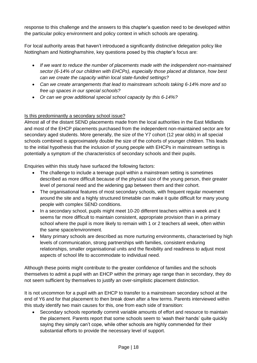response to this challenge and the answers to this chapter's question need to be developed within the particular policy environment and policy context in which schools are operating.

For local authority areas that haven't introduced a significantly distinctive delegation policy like Nottingham and Nottinghamshire, key questions posed by this chapter's focus are:

- *If we want to reduce the number of placements made with the independent non-maintained sector (6-14% of our children with EHCPs), especially those placed at distance, how best can we create the capacity within local state-funded settings?*
- *Can we create arrangements that lead to mainstream schools taking 6-14% more and so free up spaces in our special schools?*
- *Or can we grow additional special school capacity by this 6-14%?*

# Is this predominantly a secondary school issue?

Almost all of the distant SEND placements made from the local authorities in the East Midlands and most of the EHCP placements purchased from the independent non-maintained sector are for secondary aged students. More generally, the size of the Y7 cohort (12 year olds) in all special schools combined is approximately double the size of the cohorts of younger children. This leads to the initial hypothesis that the inclusion of young people with EHCPs in mainstream settings is potentially a symptom of the characteristics of secondary schools and their pupils.

Enquiries within this study have surfaced the following factors:

- The challenge to include a teenage pupil within a mainstream setting is sometimes described as more difficult because of the physical size of the young person, their greater level of personal need and the widening gap between them and their cohort.
- The organisational features of most secondary schools, with frequent regular movement around the site and a highly structured timetable can make it quite difficult for many young people with complex SEND conditions.
- In a secondary school, pupils might meet 10-20 different teachers within a week and it seems far more difficult to maintain consistent, appropriate provision than in a primary school where the pupil is more likely to remain with 1 or 2 teachers all week, often within the same space/environment.
- Many primary schools are described as more nurturing environments, characterised by high levels of communication, strong partnerships with families, consistent enduring relationships, smaller organisational units and the flexibility and readiness to adjust most aspects of school life to accommodate to individual need.

Although these points might contribute to the greater confidence of families and the schools themselves to admit a pupil with an EHCP within the primary age range than in secondary, they do not seem sufficient by themselves to justify an over-simplistic placement distinction.

It is not uncommon for a pupil with an EHCP to transfer to a mainstream secondary school at the end of Y6 and for that placement to then break down after a few terms. Parents interviewed within this study identify two main causes for this, one from each side of transition:

• Secondary schools reportedly commit variable amounts of effort and resource to maintain the placement. Parents report that some schools seem to 'wash their hands' quite quickly saying they simply can't cope, while other schools are highly commended for their substantial efforts to provide the necessary level of support.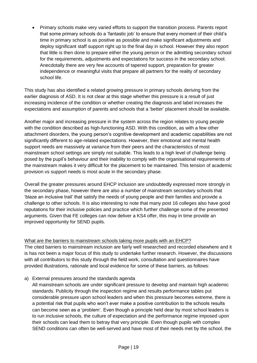Primary schools make very varied efforts to support the transition process. Parents report that some primary schools do a 'fantastic job' to ensure that every moment of their child's time in primary school is as positive as possible and make significant adjustments and deploy significant staff support right up to the final day in school. However they also report that little is then done to prepare either the young person or the admitting secondary school for the requirements, adjustments and expectations for success in the secondary school. Anecdotally there are very few accounts of tapered support, preparation for greater independence or meaningful visits that prepare all partners for the reality of secondary school life.

This study has also identified a related growing pressure in primary schools deriving from the earlier diagnosis of ASD. It is not clear at this stage whether this pressure is a result of just increasing incidence of the condition or whether creating the diagnosis and label increases the expectations and assumption of parents and schools that a 'better' placement should be available.

Another major and increasing pressure in the system across the region relates to young people with the condition described as high-functioning ASD. With this condition, as with a few other attachment disorders, the young person's cognitive development and academic capabilities are not significantly different to age-related expectations. However, their emotional and mental health support needs are massively at variance from their peers and the characteristics of most mainstream school settings are simply not suitable. This leads to a high level of challenge being posed by the pupil's behaviour and their inability to comply with the organisational requirements of the mainstream makes it very difficult for the placement to be maintained. This tension of academic provision vs support needs is most acute in the secondary phase.

Overall the greater pressures around EHCP inclusion are undoubtedly expressed more strongly in the secondary phase, however there are also a number of mainstream secondary schools that 'blaze an inclusive trail' that satisfy the needs of young people and their families and provide a challenge to other schools. It is also interesting to note that many post 16 colleges also have good reputations for their inclusive policies and practice which further challenge some of the presented arguments. Given that FE colleges can now deliver a KS4 offer, this may in time provide an improved opportunity for SEND pupils.

## What are the barriers to mainstream schools taking more pupils with an EHCP?

The cited barriers to mainstream inclusion are fairly well researched and recorded elsewhere and it is has not been a major focus of this study to undertake further research. However, the discussions with all contributors to this study through the field work, consultation and questionnaires have provided illustrations, rationale and local evidence for some of these barriers, as follows:

a) External pressures around the standards agenda

All mainstream schools are under significant pressure to develop and maintain high academic standards. Publicity through the inspection regime and results performance tables put considerable pressure upon school leaders and when this pressure becomes extreme, there is a potential risk that pupils who won't ever make a positive contribution to the schools results can become seen as a 'problem'. Even though a principle held dear by most school leaders is to run inclusive schools, the culture of expectation and the performance regime imposed upon their schools can lead them to betray that very principle. Even though pupils with complex SEND conditions can often be well-served and have most of their needs met by the school, the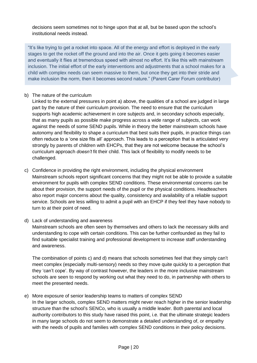decisions seem sometimes not to hinge upon that at all, but be based upon the school's institutional needs instead.

"It's like trying to get a rocket into space. All of the energy and effort is deployed in the early stages to get the rocket off the ground and into the air. Once it gets going it becomes easier and eventually it flies at tremendous speed with almost no effort. It's like this with mainstream inclusion. The initial effort of the early interventions and adjustments that a school makes for a child with complex needs can seem massive to them, but once they get into their stride and make inclusion the norm, then it becomes second nature." (Parent Carer Forum contributor)

#### b) The nature of the curriculum

Linked to the external pressures in point a) above, the qualities of a school are judged in large part by the nature of their curriculum provision. The need to ensure that the curriculum supports high academic achievement in core subjects and, in secondary schools especially, that as many pupils as possible make progress across a wide range of subjects, can work against the needs of some SEND pupils. While in theory the better mainstream schools have autonomy and flexibility to shape a curriculum that best suits their pupils, in practice things can often reduce to a 'one size fits all' approach. This leads to a perception that is articulated very strongly by parents of children with EHCPs, that they are not welcome because the school's curriculum approach *doesn't* fit their child. This lack of flexibility to modify needs to be challenged.

c) Confidence in providing the right environment, including the physical environment Mainstream schools report significant concerns that they might not be able to provide a suitable environment for pupils with complex SEND conditions. These environmental concerns can be about their provision, the support needs of the pupil or the physical conditions. Headteachers also report major concerns about the quality, consistency and availability of a reliable support service. Schools are less willing to admit a pupil with an EHCP if they feel they have nobody to turn to at their point of need.

#### d) Lack of understanding and awareness

Mainstream schools are often seen by themselves and others to lack the necessary skills and understanding to cope with certain conditions. This can be further confounded as they fail to find suitable specialist training and professional development to increase staff understanding and awareness.

The combination of points c) and d) means that schools sometimes feel that they simply can't meet complex (especially multi-sensory) needs so they move quite quickly to a perception that they 'can't cope'. By way of contrast however, the leaders in the more inclusive mainstream schools are seen to respond by working out what they need to do, in partnership with others to meet the presented needs.

e) More exposure of senior leadership teams to matters of complex SEND In the larger schools, complex SEND matters might never reach higher in the senior leadership structure than the school's SENCo, who is usually a middle leader. Both parental and local authority contributors to this study have raised this point, i.e. that the ultimate strategic leaders in many large schools do not seem to demonstrate a detailed understanding of, or empathy with the needs of pupils and families with complex SEND conditions in their policy decisions.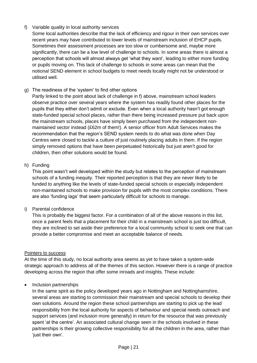# f) Variable quality in local authority services

Some local authorities describe that the lack of efficiency and rigour in their own services over recent years may have contributed to lower levels of mainstream inclusion of EHCP pupils. Sometimes their assessment processes are too slow or cumbersome and, maybe more significantly, there can be a low level of challenge to schools. In some areas there is almost a perception that schools will almost always get 'what they want', leading to either more funding or pupils moving on. This lack of challenge to schools in some areas can mean that the notional SEND element in school budgets to meet needs locally might not be understood or utilised well.

g) The readiness of the 'system' to find other options

Partly linked to the point about lack of challenge in f) above, mainstream school leaders observe practice over several years where the system has readily found other places for the pupils that they either don't admit or exclude. Even when a local authority hasn't got enough state-funded special school places, rather than there being increased pressure put back upon the mainstream schools, places have simply been purchased from the independent nonmaintained sector instead (£62m of them!). A senior officer from Adult Services makes the recommendation that the region's SEND system needs to do what was done when Day Centres were closed to tackle a culture of just routinely placing adults in them. If the region simply removed options that have been perpetuated historically but just aren't good for children, then other solutions would be found.

## h) Funding

This point wasn't well developed within the study but relates to the perception of mainstream schools of a funding inequity. Their reported perception is that they are never likely to be funded to anything like the levels of state-funded special schools or especially independent non-maintained schools to make provision for pupils with the most complex conditions. There are also 'funding lags' that seem particularly difficult for schools to manage.

## i) Parental confidence

This is probably the biggest factor. For a combination of all of the above reasons in this list, once a parent feels that a placement for their child in a mainstream school is just too difficult, they are inclined to set aside their preference for a local community school to seek one that can provide a better compromise and meet an acceptable balance of needs.

## Pointers to success

At the time of this study, no local authority area seems as yet to have taken a system-wide strategic approach to address all of the themes of this section. However there is a range of practice developing across the region that offer some inroads and insights. These include:

• Inclusion partnerships

In the same spirit as the policy developed years ago in Nottingham and Nottinghamshire, several areas are starting to commission their mainstream and special schools to develop their own solutions. Around the region these school partnerships are starting to pick up the lead responsibility from the local authority for aspects of behaviour and special needs outreach and support services (and inclusion more generally) in return for the resource that was previously spent 'at the centre'. An associated cultural change seen in the schools involved in these partnerships is their growing collective responsibility for all the children in the area, rather than 'just their own'.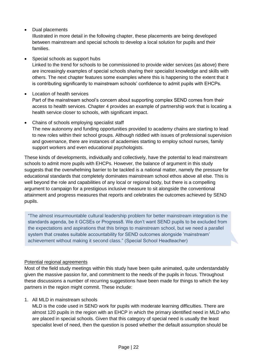# • Dual placements

Illustrated in more detail in the following chapter, these placements are being developed between mainstream and special schools to develop a local solution for pupils and their families.

## Special schools as support hubs

Linked to the trend for schools to be commissioned to provide wider services (as above) there are increasingly examples of special schools sharing their specialist knowledge and skills with others. The next chapter features some examples where this is happening to the extent that it is contributing significantly to mainstream schools' confidence to admit pupils with EHCPs.

# Location of health services

Part of the mainstream school's concern about supporting complex SEND comes from their access to health services. Chapter 4 provides an example of partnership work that is locating a health service closer to schools, with significant impact.

## Chains of schools employing specialist staff

The new autonomy and funding opportunities provided to academy chains are starting to lead to new roles within their school groups. Although riddled with issues of professional supervision and governance, there are instances of academies starting to employ school nurses, family support workers and even educational psychologists.

These kinds of developments, individually and collectively, have the potential to lead mainstream schools to admit more pupils with EHCPs. However, the balance of argument in this study suggests that the overwhelming barrier to be tackled is a national matter, namely the pressure for educational standards that completely dominates mainstream school ethos above all else. This is well beyond the role and capabilities of any local or regional body, but there is a compelling argument to campaign for a prestigious inclusive measure to sit alongside the conventional attainment and progress measures that reports and celebrates the outcomes achieved by SEND pupils.

"The almost insurmountable cultural leadership problem for better mainstream integration is the standards agenda, be it GCSEs or Progress8. We don't want SEND pupils to be excluded from the expectations and aspirations that this brings to mainstream school, but we need a parallel system that creates suitable accountability for SEND outcomes alongside 'mainstream' achievement without making it second class." (Special School Headteacher)

# Potential regional agreements

Most of the field study meetings within this study have been quite animated, quite understandably given the massive passion for, and commitment to the needs of the pupils in focus. Throughout these discussions a number of recurring suggestions have been made for things to which the key partners in the region might commit. These include:

# 1. All MLD in mainstream schools

MLD is the code used in SEND work for pupils with moderate learning difficulties. There are almost 120 pupils in the region with an EHCP in which the primary identified need in MLD who are placed in special schools. Given that this category of special need is usually the least specialist level of need, then the question is posed whether the default assumption should be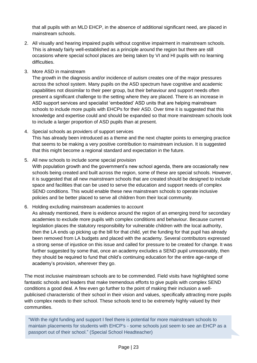that all pupils with an MLD EHCP, in the absence of additional significant need, are placed in mainstream schools.

- 2. All visually and hearing impaired pupils without cognitive impairment in mainstream schools. This is already fairly well-established as a principle around the region but there are still occasions where special school places are being taken by VI and HI pupils with no learning difficulties.
- 3. More ASD in mainstream

The growth in the diagnosis and/or incidence of autism creates one of the major pressures across the school system. Many pupils on the ASD spectrum have cognitive and academic capabilities not dissimilar to their peer group, but their behaviour and support needs often present a significant challenge to the setting where they are placed. There is an increase in ASD support services and specialist 'embedded' ASD units that are helping mainstream schools to include more pupils with EHCPs for their ASD. Over time it is suggested that this knowledge and expertise could and should be expanded so that more mainstream schools look to include a larger proportion of ASD pupils than at present.

- 4. Special schools as providers of support services This has already been introduced as a theme and the next chapter points to emerging practice that seems to be making a very positive contribution to mainstream inclusion. It is suggested that this might become a regional standard and expectation in the future.
- 5. All new schools to include some special provision

With population growth and the government's new school agenda, there are occasionally new schools being created and built across the region, some of these are special schools. However, it is suggested that all new *mainstream* schools that are created should be designed to include space and facilities that can be used to serve the education and support needs of complex SEND conditions. This would enable these new mainstream schools to operate inclusive policies and be better placed to serve all children from their local community.

6. Holding excluding mainstream academies to account

As already mentioned, there is evidence around the region of an emerging trend for secondary academies to exclude more pupils with complex conditions and behaviour. Because current legislation places the statutory responsibility for vulnerable children with the local authority, then the LA ends up picking up the bill for that child, yet the funding for that pupil has already been removed from LA budgets and placed with the academy. Several contributors expressed a strong sense of injustice on this issue and called for pressure to be created for change. It was further suggested by some that, once an academy excludes a SEND pupil unreasonably, then they should be required to fund that child's continuing education for the entire age-range of academy's provision, wherever they go.

The most inclusive mainstream schools are to be commended. Field visits have highlighted some fantastic schools and leaders that make tremendous efforts to give pupils with complex SEND conditions a good deal. A few even go further to the point of making their inclusion a wellpublicised characteristic of their school in their vision and values, specifically attracting more pupils with complex needs to their school. These schools tend to be extremely highly valued by their communities.

"With the right funding and support I feel there is potential for more mainstream schools to maintain placements for students with EHCP's - some schools just seem to see an EHCP as a passport out of their school." (Special School Headteacher)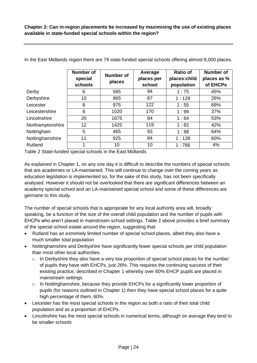|                  | <b>Number of</b><br>special<br>schools | Number of<br>places | Average<br>places per<br>school | <b>Ratio of</b><br>places:child<br>population | Number of<br>places as %<br>of EHCPs |
|------------------|----------------------------------------|---------------------|---------------------------------|-----------------------------------------------|--------------------------------------|
| Derby            | 6                                      | 565                 | 94                              | 1:75                                          | 45%                                  |
| Derbyshire       | 10                                     | 865                 | 87                              | 1:129                                         | 26%                                  |
| Leicester        | 8                                      | 975                 | 122                             | 1:55                                          | 69%                                  |
| Leicestershire   | 6                                      | 1020                | 170                             | 1:99                                          | 37%                                  |
| Lincolnshire     | 20                                     | 1675                | 84                              | 1:64                                          | 53%                                  |
| Northamptonshire | 12                                     | 1425                | 119                             | 1:82                                          | 42%                                  |
| Nottingham       | 5                                      | 465                 | 93                              | 1:98                                          | 64%                                  |
| Nottinghamshire  | 11                                     | 925                 | 84                              | 1:128                                         | 60%                                  |
| Rutland          | 1                                      | 10                  | 10                              | 1:766                                         | 4%                                   |

In the East Midlands region there are 79 state-funded special schools offering almost 8,000 places.

Table 2 State-funded special schools in the East Midlands

As explained in Chapter 1, on any one day it is difficult to describe the numbers of special schools that are academies or LA-maintained. This will continue to change over the coming years as education legislation is implemented so, for the sake of this study, has not been specifically analysed. However it should not be overlooked that there are significant differences between an academy special school and an LA-maintained special school and some of these differences are germane to this study.

The number of special schools that is appropriate for any local authority area will, broadly speaking, be a function of the size of the overall child population and the number of pupils with EHCPs who aren't placed in mainstream school settings. Table 2 above provides a brief summary of the special school estate around the region, suggesting that:

- Rutland has an extremely limited number of special school places, albeit they also have a much smaller total population
- Nottinghamshire and Derbyshire have significantly fewer special schools per child population than most other local authorities.
	- $\circ$  In Derbyshire they also have a very low proportion of special school places for the number of pupils they have with EHCPs, just 26%. This requires the continuing success of their existing practice, described in Chapter 1 whereby over 60% EHCP pupils are placed in mainstream settings.
	- $\circ$  In Nottinghamshire, because they provide EHCPs for a significantly lower proportion of pupils (for reasons outlined in Chapter 1) then they have special school places for a quite high percentage of them, 60%.
- Leicester has the most special schools in the region as both a ratio of their total child population and as a proportion of EHCPs.
- Lincolnshire has the most special schools in numerical terms, although on average they tend to be smaller schools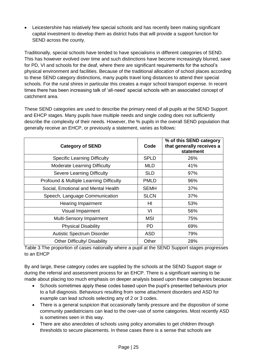• Leicestershire has relatively few special schools and has recently been making significant capital investment to develop them as district hubs that will provide a support function for SEND across the county.

Traditionally, special schools have tended to have specialisms in different categories of SEND. This has however evolved over time and such distinctions have become increasingly blurred, save for PD, VI and schools for the deaf, where there are significant requirements for the school's physical environment and facilities. Because of the traditional allocation of school places according to these SEND category distinctions, many pupils travel long distances to attend their special schools. For the rural shires in particular this creates a major school transport expense. In recent times there has been increasing talk of 'all-need' special schools with an associated concept of catchment area.

These SEND categories are used to describe the primary need of all pupils at the SEND Support and EHCP stages. Many pupils have multiple needs and single coding does not sufficiently describe the complexity of their needs. However, the % pupils in the overall SEND population that generally receive an EHCP, or previously a statement, varies as follows:

| <b>Category of SEND</b>                 | Code        | % of this SEND category<br>that generally receives a<br>statement |
|-----------------------------------------|-------------|-------------------------------------------------------------------|
| <b>Specific Learning Difficulty</b>     | <b>SPLD</b> | 26%                                                               |
| <b>Moderate Learning Difficulty</b>     | <b>MLD</b>  | 41%                                                               |
| <b>Severe Learning Difficulty</b>       | <b>SLD</b>  | 97%                                                               |
| Profound & Multiple Learning Difficulty | <b>PMLD</b> | 96%                                                               |
| Social, Emotional and Mental Health     | <b>SEMH</b> | 37%                                                               |
| Speech, Language Communication          | <b>SLCN</b> | 37%                                                               |
| <b>Hearing Impairment</b>               | HI          | 53%                                                               |
| Visual Impairment                       | VI          | 56%                                                               |
| Multi-Sensory Impairment                | <b>MSI</b>  | 75%                                                               |
| <b>Physical Disability</b>              | PD.         | 69%                                                               |
| <b>Autistic Spectrum Disorder</b>       | <b>ASD</b>  | 79%                                                               |
| <b>Other Difficulty/ Disability</b>     | Other       | 28%                                                               |

Table 3 The proportion of cases nationally where a pupil at the SEND Support stages progresses to an EHCP

By and large, these category codes are supplied by the schools at the SEND Support stage or during the referral and assessment process for an EHCP. There is a significant warning to be made about placing too much emphasis on deeper analysis based upon these categories because:

- Schools sometimes apply these codes based upon the pupil's presented behaviours prior to a full diagnosis. Behaviours resulting from some attachment disorders and ASD for example can lead schools selecting any of 2 or 3 codes.
- There is a general suspicion that occasionally family pressure and the disposition of some community paediatricians can lead to the over-use of some categories. Most recently ASD is sometimes seen in this way.
- There are also anecdotes of schools using policy anomalies to get children through thresholds to secure placements. In these cases there is a sense that schools are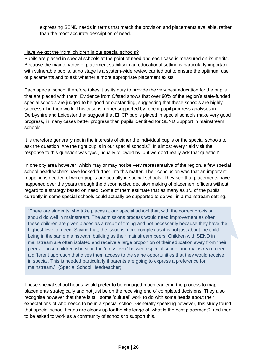expressing SEND needs in terms that match the provision and placements available, rather than the most accurate description of need.

#### Have we got the 'right' children in our special schools?

Pupils are placed in special schools at the point of need and each case is measured on its merits. Because the maintenance of placement stability in an educational setting is particularly important with vulnerable pupils, at no stage is a system-wide review carried out to ensure the optimum use of placements and to ask whether a more appropriate placement exists.

Each special school therefore takes it as its duty to provide the very best education for the pupils that are placed with them. Evidence from Ofsted shows that over 90% of the region's state-funded special schools are judged to be good or outstanding, suggesting that these schools are highly successful in their work. This case is further supported by recent pupil progress analyses in Derbyshire and Leicester that suggest that EHCP pupils placed in special schools make very good progress, in many cases better progress than pupils identified for SEND Support in mainstream schools.

It is therefore generally not in the interests of either the individual pupils or the special schools to ask the question 'Are the right pupils in our special schools?' In almost every field visit the response to this question was 'yes', usually followed by 'but we don't really ask that question'.

In one city area however, which may or may not be very representative of the region, a few special school headteachers have looked further into this matter. Their conclusion was that an important mapping is needed of which pupils are actually in special schools. They see that placements have happened over the years through the disconnected decision making of placement officers without regard to a strategy based on need. Some of them estimate that as many as 1/3 of the pupils currently in some special schools could actually be supported to do well in a mainstream setting.

"There are students who take places at our special school that, with the correct provision should do well in mainstream. The admissions process would need improvement as often these children are given places as a result of timing and not necessarily because they have the highest level of need. Saying that, the issue is more complex as it is not just about the child being in the same mainstream building as their mainstream peers. Children with SEND in mainstream are often isolated and receive a large proportion of their education away from their peers. Those children who sit in the 'cross over' between special school and mainstream need a different approach that gives them access to the same opportunities that they would receive in special. This is needed particularly if parents are going to express a preference for mainstream." (Special School Headteacher)

These special school heads would prefer to be engaged much earlier in the process to map placements strategically and not just be on the receiving end of completed decisions. They also recognise however that there is still some 'cultural' work to do with some heads about their expectations of who needs to be in a special school. Generally speaking however, this study found that special school heads are clearly up for the challenge of 'what is the best placement?' and then to be asked to work as a community of schools to support this.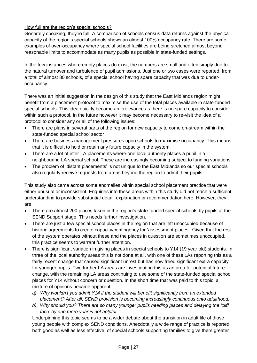# How full are the region's special schools?

Generally speaking, they're full. A comparison of schools census data returns against the physical capacity of the region's special schools shows an almost 100% occupancy rate. There are some examples of over-occupancy where special school facilities are being stretched almost beyond reasonable limits to accommodate as many pupils as possible in state-funded settings.

In the few instances where empty places do exist, the numbers are small and often simply due to the natural turnover and turbulence of pupil admissions. Just one or two cases were reported, from a total of almost 80 schools, of a special school having spare capacity that was due to underoccupancy.

There was an initial suggestion in the design of this study that the East Midlands region might benefit from a placement protocol to maximise the use of the total places available in state-funded special schools. This idea quickly became an irrelevance as there is no spare capacity to consider within such a protocol. In the future however it may become necessary to re-visit the idea of a protocol to consider any or all of the following issues:

- There are plans in several parts of the region for new capacity to come on-stream within the state-funded special school sector
- There are business management pressures upon schools to maximise occupancy. This means that it is difficult to hold or retain any future capacity in the system.
- There are a lot of inter-LA placements where one local authority places a pupil in a neighbouring LA special school. These are increasingly becoming subject to funding variations.
- The problem of 'distant placements' is not unique to the East Midlands so our special schools also regularly receive requests from areas beyond the region to admit their pupils.

This study also came across some anomalies within special school placement practice that were either unusual or inconsistent. Enquiries into these areas within this study did not reach a sufficient understanding to provide substantial detail, explanation or recommendation here. However, they are:

- There are almost 200 places taken in the region's state-funded special schools by pupils at the SEND Support stage. This needs further investigation.
- There are just a few special school places in the region that are left unoccupied because of historic agreements to create capacity/contingency for 'assessment places'. Given that the rest of the system operates without these and the places in question are sometimes unoccupied, this practice seems to warrant further attention.
- There is significant variation in giving places in special schools to Y14 (19 year old) students. In three of the local authority areas this is not done at all, with one of these LAs reporting this as a fairly recent change that caused significant unrest but has now freed significant extra capacity for younger pupils. Two further LA areas are investigating this as an area for potential future change, with the remaining LA areas continuing to use some of the state-funded special school places for Y14 without concern or question. In the short time that was paid to this topic, a mixture of opinions became apparent.
	- *a) Why wouldn't you admit Y14 if the student will benefit significantly from an extended placement? After all, SEND provision is becoming increasingly continuous onto adulthood.*
	- *b) Why should you? There are so many younger pupils needing places and delaying the 'cliff face' by one more year is not helpful.*

Underpinning this topic seems to be a wider debate about the transition in adult life of those young people with complex SEND conditions. Anecdotally a wide range of practice is reported, both good as well as less effective, of special schools supporting families to give them greater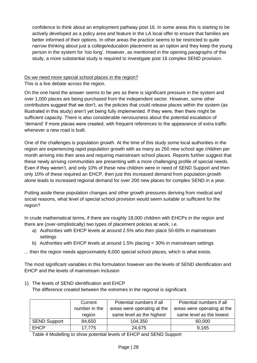confidence to think about an employment pathway post 16. In some areas this is starting to be actively developed as a policy area and feature in the LA local offer to ensure that families are better informed of their options. In other areas the practice seems to be restricted to quite narrow thinking about just a college/education placement as an option and they keep the young person in the system for 'too long'. However, as mentioned in the opening paragraphs of this study, a more substantial study is required to investigate post 16 complex SEND provision.

# Do we need more special school places in the region?

This is a live debate across the region.

On the one hand the answer seems to be yes as there is significant pressure in the system and over 1,000 places are being purchased from the independent sector. However, some other contributors suggest that we don't, as the policies that could release places within the system (as illustrated in this study) aren't yet being fully implemented. If they were, then there might be sufficient capacity. There is also considerable nervousness about the potential escalation of 'demand' if more places were created, with frequent references to the appearance of extra traffic whenever a new road is built.

One of the challenges is population growth. At the time of this study some local authorities in the region are experiencing rapid population growth with as many as 250 new school age children per month arriving into their area and requiring mainstream school places. Reports further suggest that these newly arriving communities are presenting with a more challenging profile of special needs. Even if they weren't, and only 10% of these new children were in need of SEND Support and then only 10% of these required an EHCP, then just this increased demand from population growth alone leads to increased regional demand for over 200 new places for complex SEND in a year.

Putting aside these population changes and other growth pressures deriving from medical and social reasons, what level of special school provision would seem suitable or sufficient for the region?

In crude mathematical terms, if there are roughly 18,000 children with EHCPs in the region and there are (over-simplistically) two types of placement policies at work, i.e.

- a) Authorities with EHCP levels at around 2.5% who then place 50-60% in mainstream settings
- b) Authorities with EHCP levels at around 1.5% placing < 30% in mainstream settings

... then the region needs approximately 8,000 special school places, which is what exists.

The most significant variables in this formulation however are the levels of SEND identification and EHCP and the levels of mainstream inclusion

1) The levels of SEND identification and EHCP

The difference created between the extremes in the regional is significant.

|                     | Current       | Potential numbers if all    | Potential numbers if all    |
|---------------------|---------------|-----------------------------|-----------------------------|
|                     | number in the | areas were operating at the | areas were operating at the |
|                     | region        | same level as the highest   | same level as the lowest    |
| <b>SEND Support</b> | 84,650        | 104,350                     | 60,000                      |
| <b>EHCP</b>         | 17,775        | 24,675                      | 9.165                       |

Table 4 Modelling to show potential levels of EHCP and SEND Support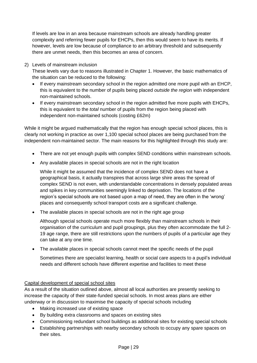If levels are low in an area because mainstream schools are already handling greater complexity and referring fewer pupils for EHCPs, then this would seem to have its merits. If however, levels are low because of compliance to an arbitrary threshold and subsequently there are unmet needs, then this becomes an area of concern.

2) Levels of mainstream inclusion

These levels vary due to reasons illustrated in Chapter 1. However, the basic mathematics of the situation can be reduced to the following:

- If every mainstream secondary school in the region admitted one more pupil with an EHCP, this is equivalent to the number of pupils being placed *outside the region* with independent non-maintained schools.
- If every mainstream secondary school in the region admitted five more pupils with EHCPs, this is equivalent to the *total* number of pupils from the region being placed with independent non-maintained schools (costing £62m)

While it might be argued mathematically that the region has enough special school places, this is clearly not working in practice as over 1,100 special school places are being purchased from the independent non-maintained sector. The main reasons for this highlighted through this study are:

- There are not vet enough pupils with complex SEND conditions within mainstream schools.
- Any available places in special schools are not in the right location

While it might be assumed that the incidence of complex SEND does not have a geographical basis, it actually transpires that across large shire areas the spread of complex SEND is not even, with understandable concentrations in densely populated areas and spikes in key communities seemingly linked to deprivation. The locations of the region's special schools are not based upon a map of need, they are often in the 'wrong' places and consequently school transport costs are a significant challenge.

• The available places in special schools are not in the right age group

Although special schools operate much more flexibly than mainstream schools in their organisation of the curriculum and pupil groupings, plus they often accommodate the full 2- 19 age range, there are still restrictions upon the numbers of pupils of a particular age they can take at any one time.

The available places in special schools cannot meet the specific needs of the pupil

Sometimes there are specialist learning, health or social care aspects to a pupil's individual needs and different schools have different expertise and facilities to meet these

## Capital development of special school sites

As a result of the situation outlined above, almost all local authorities are presently seeking to increase the capacity of their state-funded special schools. In most areas plans are either underway or in discussion to maximise the capacity of special schools including

- Making increased use of existing space
- By building extra classrooms and spaces on existing sites
- Commissioning redundant school buildings as additional sites for existing special schools
- Establishing partnerships with nearby secondary schools to occupy any spare spaces on their sites.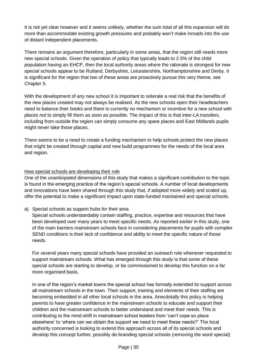It is not yet clear however and it seems unlikely, whether the sum total of all this expansion will do more than accommodate existing growth pressures and probably won't make inroads into the use of distant independent placements.

There remains an argument therefore, particularly in some areas, that the region still needs more new special schools. Given the operation of policy that typically leads to 2.5% of the child population having an EHCP, then the local authority areas where the rationale is strongest for new special schools appear to be Rutland, Derbyshire, Leicestershire, Northamptonshire and Derby. It is significant for the region that two of these areas are proactively pursue this very theme, see Chapter 5.

With the development of any new school it is important to reiterate a real risk that the benefits of the new places created may not always be realised. As the new schools open their headteachers need to balance their books and there is currently no mechanism or incentive for a new school with places *not* to simply fill them as soon as possible. The impact of this is that inter-LA transfers, including from outside the region can simply consume any spare places and East Midlands pupils might never take those places.

There seems to be a need to create a funding mechanism to help schools protect the new places that might be created through capital and new build programmes for the needs of the local area and region.

## How special schools are developing their role

One of the unanticipated dimensions of this study that makes a significant contribution to the topic is found in the emerging practice of the region's special schools. A number of local developments and innovations have been shared through this study that, if adopted more widely and scaled up, offer the potential to make a significant impact upon state-funded maintained and special schools.

a) Special schools as support hubs for their area

Special schools understandably contain staffing, practice, expertise and resources that have been developed over many years to meet specific needs. As reported earlier in this study, one of the main barriers mainstream schools face in considering placements for pupils with complex SEND conditions is their lack of confidence and ability to meet the specific nature of those needs.

For several years many special schools have provided an outreach role whenever requested to support mainstream schools. What has emerged through this study is that some of these special schools are starting to develop, or be commissioned to develop this function on a far more organised basis.

In one of the region's market towns the special school has formally extended its support across all mainstream schools in the town. Their support, training and elements of their staffing are becoming embedded in all other local schools in the area. Anecdotally this policy is helping parents to have greater confidence in the mainstream schools to educate and support their children and the mainstream schools to better understand and meet their needs. This is contributing to the mind-shift in mainstream school leaders from 'can't cope so place elsewhere' to 'where can we obtain the support we need to meet these needs?' The local authority concerned is looking to extend this approach across all of its special schools and develop this concept further, possibly de-branding special schools (removing the word special)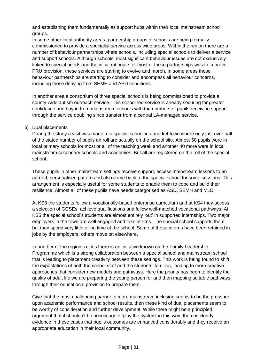and establishing them fundamentally as support hubs within their local mainstream school groups.

In some other local authority areas, partnership groups of schools are being formally commissioned to provide a specialist service across wide areas. Within the region there are a number of behaviour partnerships where schools, including special schools to deliver a service and support schools. Although schools' most significant behaviour issues are not exclusively linked to special needs and the initial rationale for most of these partnerships was to improve PRU provision, these services are starting to evolve and morph. In some areas these behaviour partnerships are starting to consider and encompass all behaviour concerns, including those deriving from SEMH and ASD conditions.

In another area a consortium of three special schools is being commissioned to provide a county-wide autism outreach service. This school-led service is already securing far greater confidence and buy-in from mainstream schools with the numbers of pupils receiving support through the service doubling since transfer from a central LA-managed service.

## b) Dual placements

During the study a visit was made to a special school in a market town where only just over half of the stated number of pupils on roll are actually on the school site. Almost 50 pupils were in local primary schools for most or all of the teaching week and another 40 more were in local mainstream secondary schools and academies. But all are registered on the roll of the special school.

These pupils in other mainstream settings receive support, access mainstream lessons to an agreed, personalised pattern and also come back to the special school for some sessions. This arrangement is especially useful for some students to enable them to cope and build their resilience. Almost all of these pupils have needs categorised as ASD, SEMH and MLD.

At KS3 the students follow a vocationally-based enterprise curriculum and at KS4 they access a selection of GCSEs, achieve qualifications and follow well-matched vocational pathways. At KS5 the special school's students are almost entirely 'out' in supported internships. Two major employers in the town are well engaged and take interns. The special school supports them, but they spend very little or no time at the school. Some of these interns have been retained in jobs by the employers, others move on elsewhere.

In another of the region's cities there is an initiative known as the Family Leadership Programme which is a strong collaboration between a special school and mainstream school that is leading to placement creativity between these settings. This work is being found to shift the expectations of both the school staff and the students' families, leading to more creative approaches that consider new models and pathways. Here the priority has been to identify the quality of adult life we are preparing the young person for and then mapping suitable pathways through their educational provision to prepare them.

Give that the most challenging barrier to more mainstream inclusion seems to be the pressure upon academic performance and school results, then these kind of dual placements seem to be worthy of consideration and further development. While there might be a principled argument that it shouldn't be necessary to 'play the system' in this way, there is clearly evidence in these cases that pupils outcomes are enhanced considerably and they receive an appropriate education in their local community.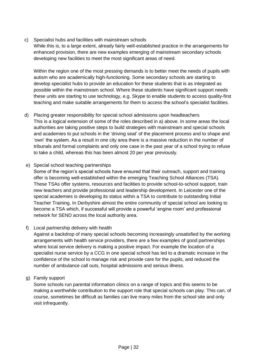#### c) Specialist hubs and facilities with mainstream schools

While this is, to a large extent, already fairly well-established practice in the arrangements for enhanced provision, there are new examples emerging of mainstream secondary schools developing new facilities to meet the most significant areas of need.

Within the region one of the most pressing demands is to better meet the needs of pupils with autism who are academically high-functioning. Some secondary schools are starting to develop specialist hubs to provide an education for these students that is as integrated as possible within the mainstream school. Where these students have significant support needs these units are starting to use technology, e.g. Skype to enable students to access quality-first teaching and make suitable arrangements for them to access the school's specialist facilities.

d) Placing greater responsibility for special school admissions upon headteachers This is a logical extension of some of the roles described in a) above. In some areas the local authorities are taking positive steps to build strategies with mainstream and special schools and academies to put schools in the 'driving seat' of the placement process and to shape and 'own' the system. As a result in one city area there is a massive reduction in the number of tribunals and formal complaints and only one case in the past year of a school trying to refuse to take a child, whereas this has been almost 20 per year previously.

#### e) Special school teaching partnerships

Some of the region's special schools have ensured that their outreach, support and training offer is becoming well-established within the emerging Teaching School Alliances (TSA). These TSAs offer systems, resources and facilities to provide school-to-school support, train new teachers and provide professional and leadership development. In Leicester one of the special academies is developing its status within a TSA to contribute to outstanding Initial Teacher Training. In Derbyshire almost the entire community of special school are looking to become a TSA which, if successful will provide a powerful 'engine room' and professional network for SEND across the local authority area.

## f) Local partnership delivery with health

Against a backdrop of many special schools becoming increasingly unsatisfied by the working arrangements with health service providers, there are a few examples of good partnerships where local service delivery is making a positive impact. For example the location of a specialist nurse service by a CCG in one special school has led to a dramatic increase in the confidence of the school to manage risk and provide care for the pupils, and reduced the number of ambulance call outs, hospital admissions and serious illness.

## g) Family support

Some schools run parental information clinics on a range of topics and this seems to be making a worthwhile contribution to the support role that special schools can play. This can, of course, sometimes be difficult as families can live many miles from the school site and only visit infrequently.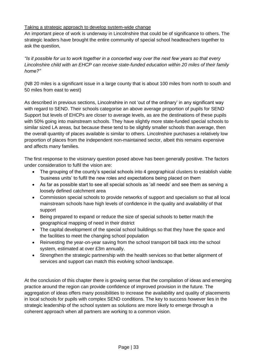## Taking a strategic approach to develop system-wide change

An important piece of work is underway in Lincolnshire that could be of significance to others. The strategic leaders have brought the entire community of special school headteachers together to ask the question,

*"Is it possible for us to work together in a concerted way over the next few years so that every Lincolnshire child with an EHCP can receive state-funded education within 20 miles of their family home?"*

(NB 20 miles is a significant issue in a large county that is about 100 miles from north to south and 50 miles from east to west)

As described in previous sections, Lincolnshire in not 'out of the ordinary' in any significant way with regard to SEND. Their schools categorise an above average proportion of pupils for SEND Support but levels of EHCPs are closer to average levels, as are the destinations of these pupils with 50% going into mainstream schools. They have slightly more state-funded special schools to similar sized LA areas, but because these tend to be slightly smaller schools than average, then the overall quantity of places available is similar to others. Lincolnshire purchases a relatively low proportion of places from the independent non-maintained sector, albeit this remains expensive and affects many families.

The first response to the visionary question posed above has been generally positive. The factors under consideration to fulfil the vision are:

- The grouping of the county's special schools into 4 geographical clusters to establish viable 'business units' to fulfil the new roles and expectations being placed on them
- As far as possible start to see all special schools as 'all needs' and see them as serving a loosely defined catchment area
- Commission special schools to provide networks of support and specialism so that all local mainstream schools have high levels of confidence in the quality and availability of that support
- Being prepared to expand or reduce the size of special schools to better match the geographical mapping of need in their district
- The capital development of the special school buildings so that they have the space and the facilities to meet the changing school population
- Reinvesting the year-on-year saving from the school transport bill back into the school system, estimated at over £3m annually.
- Strengthen the strategic partnership with the health services so that better alignment of services and support can match this evolving school landscape.

At the conclusion of this chapter there is growing sense that the compilation of ideas and emerging practice around the region can provide confidence of improved provision in the future. The aggregation of ideas offers many possibilities to increase the availability and quality of placements in local schools for pupils with complex SEND conditions. The key to success however lies in the strategic leadership of the school system as solutions are more likely to emerge through a coherent approach when all partners are working to a common vision.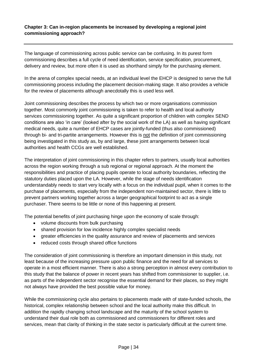# **Chapter 3: Can in-region placements be increased by developing a regional joint commissioning approach?**

The language of commissioning across public service can be confusing. In its purest form commissioning describes a full cycle of need identification, service specification, procurement, delivery and review, but more often it is used as shorthand simply for the purchasing element.

In the arena of complex special needs, at an individual level the EHCP is designed to serve the full commissioning process including the placement decision-making stage. It also provides a vehicle for the review of placements although anecdotally this is used less well.

Joint commissioning describes the process by which two or more organisations commission together. Most commonly joint commissioning is taken to refer to health and local authority services commissioning together. As quite a significant proportion of children with complex SEND conditions are also 'in care' (looked after by the social work of the LA) as well as having significant medical needs, quite a number of EHCP cases are jointly-funded (thus also commissioned) through bi- and tri-partite arrangements. However this is not the definition of joint commissioning being investigated in this study as, by and large, these joint arrangements between local authorities and health CCGs are well established.

The interpretation of joint commissioning in this chapter refers to partners, usually local authorities across the region working through a sub regional or regional approach. At the moment the responsibilities and practice of placing pupils operate to local authority boundaries, reflecting the statutory duties placed upon the LA. However, while the stage of needs identification understandably needs to start very locally with a focus on the individual pupil, when it comes to the purchase of placements, especially from the independent non-maintained sector, there is little to prevent partners working together across a larger geographical footprint to act as a single purchaser. There seems to be little or none of this happening at present.

The potential benefits of joint purchasing hinge upon the economy of scale through:

- volume discounts from bulk purchasing
- shared provision for low incidence highly complex specialist needs
- greater efficiencies in the quality assurance and review of placements and services
- reduced costs through shared office functions

The consideration of joint commissioning is therefore an important dimension in this study, not least because of the increasing pressure upon public finance and the need for all services to operate in a most efficient manner. There is also a strong perception in almost every contribution to this study that the balance of power in recent years has shifted from commissioner to supplier, i.e. as parts of the independent sector recognise the essential demand for their places, so they might not always have provided the best possible value for money.

While the commissioning cycle also pertains to placements made with of state-funded schools, the historical, complex relationship between school and the local authority make this difficult. In addition the rapidly changing school landscape and the maturity of the school system to understand their dual role both as commissioned and commissioners for different roles and services, mean that clarity of thinking in the state sector is particularly difficult at the current time.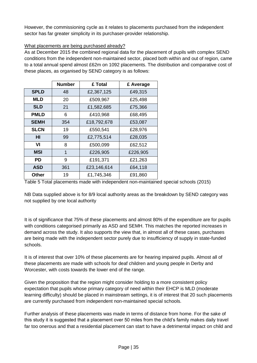However, the commissioning cycle as it relates to placements purchased from the independent sector has far greater simplicity in its purchaser-provider relationship.

## What placements are being purchased already?

As at December 2015 the combined regional data for the placement of pupils with complex SEND conditions from the independent non-maintained sector, placed both within and out of region, came to a total annual spend almost £62m on 1092 placements. The distribution and comparative cost of these places, as organised by SEND category is as follows:

|             | <b>Number</b> | £ Total     | £ Average |
|-------------|---------------|-------------|-----------|
| <b>SPLD</b> | 48            | £2,367,125  | £49,315   |
| <b>MLD</b>  | 20            | £509,967    | £25,498   |
| <b>SLD</b>  | 21            | £1,582,685  | £75,366   |
| <b>PMLD</b> | 6             | £410,968    | £68,495   |
| <b>SEMH</b> | 354           | £18,792,678 | £53,087   |
| <b>SLCN</b> | 19            | £550,541    | £28,976   |
| нı          | 99            | £2,775,514  | £28,035   |
| VI          | 8             | £500,099    | £62,512   |
| MSI         | 1             | £226,905    | £226,905  |
| PD          | 9             | £191,371    | £21,263   |
| <b>ASD</b>  | 361           | £23,146,614 | £64,118   |
| Other       | 19            | £1,745,346  | £91,860   |

Table 5 Total placements made with independent non-maintained special schools (2015)

NB Data supplied above is for 8/9 local authority areas as the breakdown by SEND category was not supplied by one local authority

It is of significance that 75% of these placements and almost 80% of the expenditure are for pupils with conditions categorised primarily as ASD and SEMH. This matches the reported increases in demand across the study. It also supports the view that, in almost all of these cases, purchases are being made with the independent sector purely due to insufficiency of supply in state-funded schools.

It is of interest that over 10% of these placements are for hearing impaired pupils. Almost all of these placements are made with schools for deaf children and young people in Derby and Worcester, with costs towards the lower end of the range.

Given the proposition that the region might consider holding to a more consistent policy expectation that pupils whose primary category of need within their EHCP is MLD (moderate learning difficulty) should be placed in mainstream settings, it is of interest that 20 such placements are currently purchased from independent non-maintained special schools.

Further analysis of these placements was made in terms of distance from home. For the sake of this study it is suggested that a placement over 50 miles from the child's family makes daily travel far too onerous and that a residential placement can start to have a detrimental impact on child and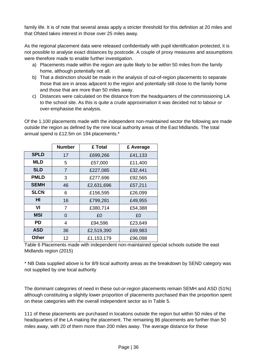family life. It is of note that several areas apply a stricter threshold for this definition at 20 miles and that Ofsted takes interest in those over 25 miles away.

As the regional placement data were released confidentially with pupil identification protected, it is not possible to analyse exact distances by postcode. A couple of proxy measures and assumptions were therefore made to enable further investigation.

- a) Placements made within the region are quite likely to be within 50 miles from the family home, although potentially not all.
- b) That a distinction should be made in the analysis of out-of-region placements to separate those that are in areas adjacent to the region and potentially still close to the family home and those that are more than 50 miles away.
- c) Distances were calculated on the distance from the headquarters of the commissioning LA to the school site. As this is quite a crude approximation it was decided not to labour or over-emphasise the analysis.

Of the 1,100 placements made with the independent non-maintained sector the following are made outside the region as defined by the nine local authority areas of the East Midlands. The total annual spend is £12.5m on 194 placements.\*

|             | <b>Number</b>  | £ Total    | £ Average |  |  |
|-------------|----------------|------------|-----------|--|--|
| <b>SPLD</b> | 17             | £699,266   | £41,133   |  |  |
| <b>MLD</b>  | 5              | £57,000    | £11,400   |  |  |
| <b>SLD</b>  | $\overline{7}$ | £227,085   | £32,441   |  |  |
| <b>PMLD</b> | 3              | £277,696   | £92,565   |  |  |
| <b>SEMH</b> | 46             | £2,631,696 | £57,211   |  |  |
| <b>SLCN</b> | 6              | £156,595   | £26,099   |  |  |
| HI          | 16             | £799,281   | £49,955   |  |  |
| VI          | 7              | £380,714   | £54,388   |  |  |
| MSI         | $\Omega$       | £0         | £0        |  |  |
| PD          | 4              | £94,596    | £23,649   |  |  |
| <b>ASD</b>  | 36             | £2,519,390 | £69,983   |  |  |
| Other       | 12             | £1,153,179 | £96,098   |  |  |

Table 6 Placements made with independent non-maintained special schools outside the east Midlands region (2015)

\* NB Data supplied above is for 8/9 local authority areas as the breakdown by SEND category was not supplied by one local authority

The dominant categories of need in these out-or-region placements remain SEMH and ASD (51%) although constituting a slightly lower proportion of placements purchased than the proportion spent on these categories with the overall independent sector as in Table 5.

111 of these placements are purchased in locations outside the region but within 50 miles of the headquarters of the LA making the placement. The remaining 86 placements are further than 50 miles away, with 20 of them more than 200 miles away. The average distance for these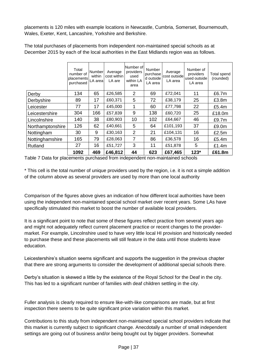placements is 120 miles with example locations in Newcastle, Cumbria, Somerset, Bournemouth, Wales, Exeter, Kent, Lancashire, Yorkshire and Berkshire.

|                  | Total<br>number of<br>placements<br>purchased | Number<br>within<br>LA area | Average<br>cost within<br>LA are | Number of<br>providers<br>used<br>within LA<br>area | <b>Number</b><br>purchase<br>d outside<br>LA area | Average<br>cost outside<br>LA area | Number of<br>providers<br>used outside<br>LA area | <b>Total spend</b><br>(rounded) |
|------------------|-----------------------------------------------|-----------------------------|----------------------------------|-----------------------------------------------------|---------------------------------------------------|------------------------------------|---------------------------------------------------|---------------------------------|
| Derby            | 134                                           | 65                          | £26,585                          | 2                                                   | 69                                                | £72,041                            | 11                                                | £6.7m                           |
| Derbyshire       | 89                                            | 17                          | £60,371                          | 5                                                   | 72                                                | £38,179                            | 25                                                | £3.8m                           |
| Leicester        | 77                                            | 17                          | £45,000                          | 1                                                   | 60                                                | £77,798                            | 22                                                | £5.4m                           |
| Leicestershire   | 304                                           | 166                         | £57,839                          | 9                                                   | 138                                               | £60,720                            | 25                                                | £18.0m                          |
| Lincolnshire     | 140                                           | 38                          | £80,903                          | 10                                                  | 102                                               | £64,667                            | 46                                                | £9.7m                           |
| Northamptonshire | 126                                           | 62                          | £40,661                          | 5                                                   | 64                                                | £101,193                           | 37                                                | £9.0m                           |
| Nottingham       | 30                                            | 9                           | £30,163                          | $\overline{2}$                                      | 21                                                | £104,131                           | 16                                                | £2.5m                           |
| Nottinghamshire  | 165                                           | 79                          | £28,063                          | 7                                                   | 86                                                | £36,578                            | 16                                                | £5.4m                           |
| Rutland          | 27                                            | 16                          | £51,727                          | 3                                                   | 11                                                | £51,878                            | 5                                                 | £1.4m                           |
|                  | 1092                                          | 469                         | £46,812                          | 44                                                  | 623                                               | £67,465                            | $123*$                                            | £61.8m                          |

The total purchases of placements from independent non-maintained special schools as at December 2015 by each of the local authorities in the East Midlands region was as follows.

Table 7 Data for placements purchased from independent non-maintained schools

\* This cell is the total number of unique providers used by the region, i.e. it is not a simple addition of the column above as several providers are used by more than one local authority

Comparison of the figures above gives an indication of how different local authorities have been using the independent non-maintained special school market over recent years. Some LAs have specifically stimulated this market to boost the number of available local providers.

It is a significant point to note that some of these figures reflect practice from several years ago and might not adequately reflect current placement practice or recent changes to the providermarket. For example, Lincolnshire used to have very little local HI provision and historically needed to purchase these and these placements will still feature in the data until those students leave education.

Leicestershire's situation seems significant and supports the suggestion in the previous chapter that there are strong arguments to consider the development of additional special schools there.

Derby's situation is skewed a little by the existence of the Royal School for the Deaf in the city. This has led to a significant number of families with deaf children settling in the city.

Fuller analysis is clearly required to ensure like-with-like comparisons are made, but at first inspection there seems to be quite significant price variation within this market.

Contributions to this study from independent non-maintained special school providers indicate that this market is currently subject to significant change. Anecdotally a number of small independent settings are going out of business and/or being bought out by bigger providers. Somewhat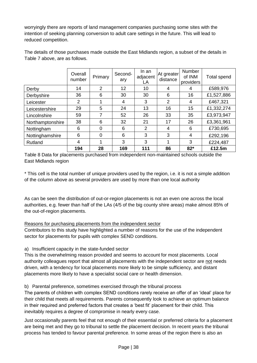worryingly there are reports of land management companies purchasing some sites with the intention of seeking planning conversion to adult care settings in the future. This will lead to reduced competition.

|                  | Overall<br>number | Primary | Second-<br>ary | In an<br>adjacent<br>LA | At greater<br>distance | <b>Number</b><br>of INM<br>providers | <b>Total spend</b> |
|------------------|-------------------|---------|----------------|-------------------------|------------------------|--------------------------------------|--------------------|
| Derby            | 14                | 2       | 12             | 10                      | 4                      | 4                                    | £589,976           |
| Derbyshire       | 36                | 6       | 30             | 30                      | 6                      | 16                                   | £1,527,886         |
| Leicester        | $\overline{2}$    |         | 4              | 3                       | $\overline{2}$         | 4                                    | £467,321           |
| Leicestershire   | 29                | 5       | 24             | 13                      | 16                     | 15                                   | £1,332,274         |
| Lincolnshire     | 59                | 7       | 52             | 26                      | 33                     | 35                                   | £3,973,947         |
| Northamptonshire | 38                | 6       | 32             | 21                      | 17                     | 26                                   | £3,361,961         |
| Nottingham       | 6                 | 0       | 6              | $\overline{2}$          | 4                      | 6                                    | £730,695           |
| Nottinghamshire  | 6                 | 0       | 6              | 3                       | 3                      | 4                                    | £292,196           |
| Rutland          | 4                 |         | 3              | 3                       |                        | 3                                    | £224,487           |
|                  | 194               | 28      | 169            | 111                     | 86                     | $82*$                                | £12.5m             |

The details of those purchases made outside the East Midlands region, a subset of the details in Table 7 above, are as follows.

Table 8 Data for placements purchased from independent non-maintained schools outside the East Midlands region

\* This cell is the total number of unique providers used by the region, i.e. it is not a simple addition of the column above as several providers are used by more than one local authority

As can be seen the distribution of out-or-region placements is not an even one across the local authorities, e.g. fewer than half of the LAs (4/5 of the big county shire areas) make almost 85% of the out-of-region placements.

## Reasons for purchasing placements from the independent sector

Contributors to this study have highlighted a number of reasons for the use of the independent sector for placements for pupils with complex SEND conditions.

a) Insufficient capacity in the state-funded sector

This is the overwhelming reason provided and seems to account for most placements. Local authority colleagues report that almost all placements with the independent sector are not needs driven, with a tendency for local placements more likely to be simple sufficiency, and distant placements more likely to have a specialist social care or health dimension.

b) Parental preference, sometimes exercised through the tribunal process

The parents of children with complex SEND conditions rarely receive an offer of an 'ideal' place for their child that meets all requirements. Parents consequently look to achieve an optimum balance in their required and preferred factors that creates a 'best fit' placement for their child. This inevitably requires a degree of compromise in nearly every case.

Just occasionally parents feel that not enough of their essential or preferred criteria for a placement are being met and they go to tribunal to settle the placement decision. In recent years the tribunal process has tended to favour parental preference. In some areas of the region there is also an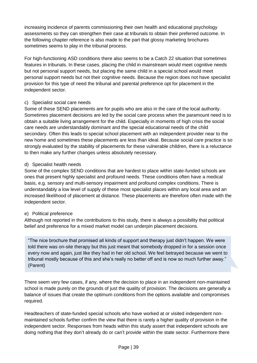increasing incidence of parents commissioning their own health and educational psychology assessments so they can strengthen their case at tribunals to obtain their preferred outcome. In the following chapter reference is also made to the part that glossy marketing brochures sometimes seems to play in the tribunal process.

For high-functioning ASD conditions there also seems to be a Catch 22 situation that sometimes features in tribunals. In these cases, placing the child in mainstream would meet cognitive needs but not personal support needs, but placing the same child in a special school would meet personal support needs but not their cognitive needs. Because the region does not have specialist provision for this type of need the tribunal and parental preference opt for placement in the independent sector.

#### c) Specialist social care needs

Some of these SEND placements are for pupils who are also in the care of the local authority. Sometimes placement decisions are led by the social care process when the paramount need is to obtain a suitable living arrangement for the child. Especially in moments of high crisis the social care needs are understandably dominant and the special educational needs of the child secondary. Often this leads to special school placement with an independent provider near to the new home and sometimes these placements are less than ideal. Because social care practice is so strongly evaluated by the stability of placements for these vulnerable children, there is a reluctance to then make any further changes unless absolutely necessary.

#### d) Specialist health needs

Some of the complex SEND conditions that are hardest to place within state-funded schools are ones that present highly specialist and profound needs. These conditions often have a medical basis, e.g. sensory and multi-sensory impairment and profound complex conditions. There is understandably a low level of supply of these most specialist places within any local area and an increased likelihood of placement at distance. These placements are therefore often made with the independent sector.

## e) Political preference

Although not reported in the contributions to this study, there is always a possibility that political belief and preference for a mixed market model can underpin placement decisions.

"The nice brochure that promised all kinds of support and therapy just didn't happen. We were told there was on-site therapy but this just meant that somebody dropped in for a session once every now and again, just like they had in her old school. We feel betrayed because we went to tribunal mostly because of this and she's really no better off and is now so much further away." (Parent)

There seem very few cases, if any, where the decision to place in an independent non-maintained school is made purely on the grounds of just the quality of provision. The decisions are generally a balance of issues that create the optimum conditions from the options available and compromises required.

Headteachers of state-funded special schools who have worked at or visited independent nonmaintained schools further confirm the view that there is rarely a higher quality of provision in the independent sector. Responses from heads within this study assert that independent schools are doing nothing that they don't already do or can't provide within the state sector. Furthermore there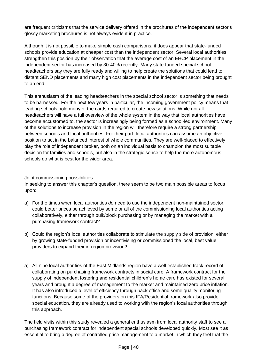are frequent criticisms that the service delivery offered in the brochures of the independent sector's glossy marketing brochures is not always evident in practice.

Although it is not possible to make simple cash comparisons, it does appear that state-funded schools provide education at cheaper cost than the independent sector. Several local authorities strengthen this position by their observation that the average cost of an EHCP placement in the independent sector has increased by 30-40% recently. Many state-funded special school headteachers say they are fully ready and willing to help create the solutions that could lead to distant SEND placements and many high cost placements in the independent sector being brought to an end.

This enthusiasm of the leading headteachers in the special school sector is something that needs to be harnessed. For the next few years in particular, the incoming government policy means that leading schools hold many of the cards required to create new solutions. While not all headteachers will have a full overview of the whole system in the way that local authorities have become accustomed to, the sector is increasingly being formed as a school-led environment. Many of the solutions to increase provision in the region will therefore require a strong partnership between schools and local authorities. For their part, local authorities can assume an objective position to act in the balanced interest of whole communities. They are well-placed to effectively play the role of independent broker, both on an individual basis to champion the most suitable decision for families and schools, but also in the strategic sense to help the more autonomous schools do what is best for the wider area.

#### Joint commissioning possibilities

In seeking to answer this chapter's question, there seem to be two main possible areas to focus upon:

- a) For the times when local authorities *do* need to use the independent non-maintained sector, could better prices be achieved by some or all of the commissioning local authorities acting collaboratively, either through bulk/block purchasing or by managing the market with a purchasing framework contract?
- b) Could the region's local authorities collaborate to stimulate the supply side of provision, either by growing state-funded provision or incentivising or commissioned the local, best value providers to expand their in-region provision?
- a) All nine local authorities of the East Midlands region have a well-established track record of collaborating on purchasing framework contracts in social care. A framework contract for the supply of independent fostering and residential children's home care has existed for several years and brought a degree of management to the market and maintained zero price inflation. It has also introduced a level of efficiency through back office and some quality monitoring functions. Because some of the providers on this IFA/Residential framework also provide special education, they are already used to working with the region's local authorities through this approach.

The field visits within this study revealed a general enthusiasm from local authority staff to see a purchasing framework contract for independent special schools developed quickly. Most see it as essential to bring a degree of controlled price management to a market in which they feel that the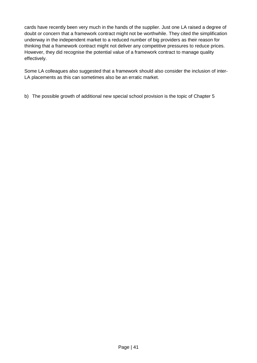cards have recently been very much in the hands of the supplier. Just one LA raised a degree of doubt or concern that a framework contract might not be worthwhile. They cited the simplification underway in the independent market to a reduced number of big providers as their reason for thinking that a framework contract might not deliver any competitive pressures to reduce prices. However, they did recognise the potential value of a framework contract to manage quality effectively.

Some LA colleagues also suggested that a framework should also consider the inclusion of inter-LA placements as this can sometimes also be an erratic market.

b) The possible growth of additional new special school provision is the topic of Chapter 5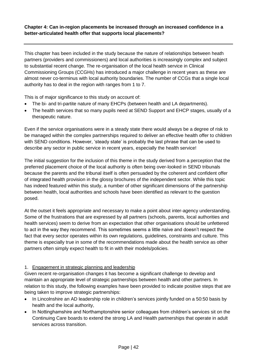# **Chapter 4: Can in-region placements be increased through an increased confidence in a better-articulated health offer that supports local placements?**

This chapter has been included in the study because the nature of relationships between heath partners (providers and commissioners) and local authorities is increasingly complex and subject to substantial recent change. The re-organisation of the local health service in Clinical Commissioning Groups (CCGHs) has introduced a major challenge in recent years as these are almost never co-terminus with local authority boundaries. The number of CCGs that a single local authority has to deal in the region with ranges from 1 to 7.

This is of major significance to this study on account of:

- The bi- and tri-partite nature of many EHCPs (between health and LA departments).
- The health services that so many pupils need at SEND Support and EHCP stages, usually of a therapeutic nature.

Even if the service organisations were in a steady state there would always be a degree of risk to be managed within the complex partnerships required to deliver an effective health offer to children with SEND conditions. However, 'steady state' is probably the last phrase that can be used to describe any sector in public service in recent years, especially the health service!

The initial suggestion for the inclusion of this theme in the study derived from a perception that the preferred placement choice of the local authority is often being over-looked in SEND tribunals because the parents and the tribunal itself is often persuaded by the coherent and confident offer of integrated health provision in the glossy brochures of the independent sector. While this topic has indeed featured within this study, a number of other significant dimensions of the partnership between health, local authorities and schools have been identified as relevant to the question posed.

At the outset it feels appropriate and necessary to make a point about inter-agency understanding. Some of the frustrations that are expressed by all partners (schools, parents, local authorities and health services) seem to derive from an expectation that other organisations should be unfettered to act in the way they recommend. This sometimes seems a little naive and doesn't respect the fact that every sector operates within its own regulations, guidelines, constraints and culture. This theme is especially true in some of the recommendations made about the health service as other partners often simply expect health to fit in with their models/policies.

## 1. Engagement in strategic planning and leadership

Given recent re-organisation changes it has become a significant challenge to develop and maintain an appropriate level of strategic partnerships between health and other partners. In relation to this study, the following examples have been provided to indicate positive steps that are being taken to improve strategic partnerships:

- In Lincolnshire an AD leadership role in children's services jointly funded on a 50:50 basis by health and the local authority,
- In Nottinghamshire and Northamptonshire senior colleagues from children's services sit on the Continuing Care boards to extend the strong LA and Health partnerships that operate in adult services across transition.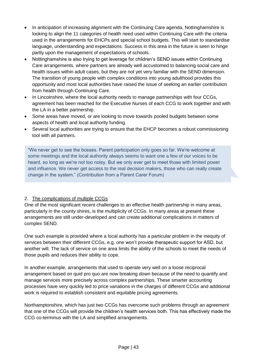- In anticipation of increasing alignment with the Continuing Care agenda, Nottinghamshire is looking to align the 11 categories of health need used within Continuing Care with the criteria used in the arrangements for EHCPs and special school budgets. This will start to standardise language, understanding and expectations. Success in this area in the future is seen to hinge partly upon the management of expectations of schools.
- Nottinghamshire is also trying to get leverage for children's SEND issues within Continuing Care arrangements, where partners are already well accustomed to balancing social care and health issues within adult cases, but they are not yet very familiar with the SEND dimension. The transition of young people with complex conditions into young adulthood provides this opportunity and most local authorities have raised the issue of seeking an earlier contribution from health through Continuing Care.
- In Lincolnshire, where the local authority needs to manage partnerships with four CCGs, agreement has been reached for the Executive Nurses of each CCG to work together and with the LA in a better partnership.
- Some areas have moved, or are looking to move towards pooled budgets between some aspects of health and local authority funding.
- Several local authorities are trying to ensure that the EHCP becomes a robust commissioning tool with all partners.

"We never get to see the bosses. Parent participation only goes so far. We're welcome at some meetings and the local authority always seems to want one a few of our voices to be heard, so long as we're not too noisy. But we only ever get to meet those with limited power and influence. We never get access to the real decision makers, those who can really create change in the system." (Contribution from a Parent Carer Forum)

## 2. The complications of multiple CCGs

One of the most significant recent challenges to an effective health partnership in many areas, particularly in the county shires, is the multiplicity of CCGs. In many areas at present these arrangements are still under-developed and can create additional complications in matters of complex SEND.

One such example is provided where a local authority has a particular problem in the inequity of services between their different CCGs, e.g. one won't provide therapeutic support for ASD, but another will. The lack of service on one area limits the ability of the schools to meet the needs of those pupils and reduces their ability to cope.

In another example, arrangements that used to operate very well on a loose reciprocal arrangement based on quid pro quo are now breaking down because of the need to quantify and manage services more precisely across complex partnerships. These smarter accounting processes have very quickly led to price variations in the charges of different CCGs and additional work is required to establish consistent and equitable pricing agreements.

Northamptonshire, which has just two CCGs has overcome such problems through an agreement that one of the CCGs will provide the children's health services both. This has effectively made the CCG co-terminus with the LA and simplified arrangements.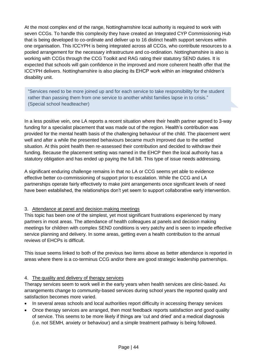At the most complex end of the range, Nottinghamshire local authority is required to work with seven CCGs. To handle this complexity they have created an Integrated CYP Commissioning Hub that is being developed to co-ordinate and deliver up to 16 distinct health support services within one organisation. This ICCYPH is being integrated across all CCGs, who contribute resources to a pooled arrangement for the necessary infrastructure and co-ordination. Nottinghamshire is also is working with CCGs through the CCG Toolkit and RAG rating their statutory SEND duties. It is expected that schools will gain confidence in the improved and more coherent health offer that the ICCYPH delivers. Nottinghamshire is also placing its EHCP work within an integrated children's disability unit.

"Services need to be more joined up and for each service to take responsibility for the student rather than passing them from one service to another whilst families lapse in to crisis." (Special school headteacher)

In a less positive vein, one LA reports a recent situation where their health partner agreed to 3-way funding for a specialist placement that was made out of the region. Health's contribution was provided for the mental health basis of the challenging behaviour of the child. The placement went well and after a while the presented behaviours became much improved due to the settled situation. At this point health then re-assessed their contribution and decided to withdraw their funding. Because the placement setting was named in the EHCP then the local authority has a statutory obligation and has ended up paying the full bill. This type of issue needs addressing.

A significant enduring challenge remains in that no LA or CCG seems yet able to evidence effective better co-commissioning of support prior to escalation. While the CCG and LA partnerships operate fairly effectively to make joint arrangements once significant levels of need have been established, the relationships don't yet seem to support collaborative early intervention.

## 3. Attendance at panel and decision making meetings

This topic has been one of the simplest, yet most significant frustrations experienced by many partners in most areas. The attendance of health colleagues at panels and decision making meetings for children with complex SEND conditions is very patchy and is seen to impede effective service planning and delivery. In some areas, getting even a health contribution to the annual reviews of EHCPs is difficult.

This issue seems linked to both of the previous two items above as better attendance is reported in areas where there is a co-terminus CCG and/or there are good strategic leadership partnerships.

#### 4. The quality and delivery of therapy services

Therapy services seem to work well in the early years when health services are clinic-based. As arrangements change to community-based services during school years the reported quality and satisfaction becomes more varied.

- In several areas schools and local authorities report difficulty in accessing therapy services
- Once therapy services are arranged, then most feedback reports satisfaction and good quality of service. This seems to be more likely if things are 'cut and dried' and a medical diagnosis (i.e. not SEMH, anxiety or behaviour) and a simple treatment pathway is being followed.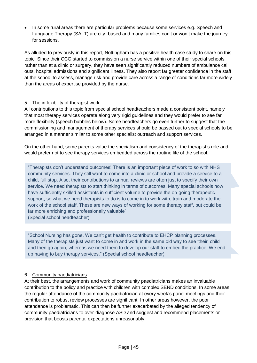In some rural areas there are particular problems because some services e.g. Speech and Language Therapy (SALT) are city- based and many families can't or won't make the journey for sessions.

As alluded to previously in this report, Nottingham has a positive health case study to share on this topic. Since their CCG started to commission a nurse service within one of their special schools rather than at a clinic or surgery, they have seen significantly reduced numbers of ambulance call outs, hospital admissions and significant illness. They also report far greater confidence in the staff at the school to assess, manage risk and provide care across a range of conditions far more widely than the areas of expertise provided by the nurse.

## 5. The inflexibility of therapist work

All contributions to this topic from special school headteachers made a consistent point, namely that most therapy services operate along very rigid guidelines and they would prefer to see far more flexibility (speech bubbles below). Some headteachers go even further to suggest that the commissioning and management of therapy services should be passed out to special schools to be arranged in a manner similar to some other specialist outreach and support services.

On the other hand, some parents value the specialism and consistency of the therapist's role and would prefer not to see therapy services embedded across the routine life of the school.

"Therapists don't understand outcomes! There is an important piece of work to so with NHS community services. They still want to come into a clinic or school and provide a service to a child, full stop. Also, their contributions to annual reviews are often just to specify their own service. We need therapists to start thinking in terms of outcomes. Many special schools now have sufficiently skilled assistants in sufficient volume to provide the on-going therapeutic support, so what we need therapists to do is to come in to work with, train and moderate the work of the school staff. These are new ways of working for some therapy staff, but could be far more enriching and professionally valuable"

(Special school headteacher)

"School Nursing has gone. We can't get health to contribute to EHCP planning processes. Many of the therapists just want to come in and work in the same old way to see 'their' child and then go again, whereas we need them to develop our staff to embed the practice. We end up having to buy therapy services." (Special school headteacher)

## 6. Community paediatricians

At their best, the arrangements and work of community paediatricians makes an invaluable contribution to the policy and practice with children with complex SEND conditions. In some areas, the regular attendance of the community paediatrician at every week's panel meetings and their contribution to robust review processes are significant. In other areas however, the poor attendance is problematic. This can then be further exacerbated by the alleged tendency of community paediatricians to over-diagnose ASD and suggest and recommend placements or provision that boosts parental expectations unreasonably.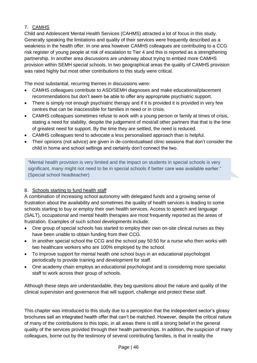# 7. CAMHS

Child and Adolescent Mental Health Services (CAHMS) attracted a lot of focus in this study. Generally speaking the limitations and quality of their services were frequently described as a weakness in the health offer. In one area however CAMHS colleagues are contributing to a CCG risk register of young people at risk of escalation to Tier 4 and this is reported as a strengthening partnership. In another area discussions are underway about trying to embed more CAMHS provision within SEMH special schools. In two geographical areas the quality of CAMHS provision was rated highly but most other contributions to this study were critical.

The most substantial, recurring themes in discussions were:

- CAMHS colleagues contribute to ASD/SEMH diagnoses and make educational/placement recommendations but don't seem be able to offer any appropriate psychiatric support.
- There is simply not enough psychiatric therapy and if it is provided it is provided in very few centres that can be inaccessible for families in need or in crisis.
- CAMHS colleagues sometimes refuse to work with a young person or family at times of crisis, stating a need for stability, despite the judgement of most/all other partners that that is the time of greatest need for support. By the time they are settled, the need is reduced.
- CAMHS colleagues tend to advocate a less personalised approach than is helpful.
- Their opinions (not advice) are given in de-contextualised clinic sessions that don't consider the child in home and school settings and certainly don't connect the two.

"Mental health provision is very limited and the impact on students in special schools is very significant, many might not need to be in special schools if better care was available earlier." (Special school headteacher)

# 8. Schools starting to fund health staff

A combination of increasing school autonomy with delegated funds and a growing sense of frustration about the availability and sometimes the quality of health services is leading to some schools starting to buy or employ their own health services. Access to speech and language (SALT), occupational and mental health therapies are most frequently reported as the areas of frustration. Examples of such school developments include:

- One group of special schools has started to employ their own on-site clinical nurses as they have been unable to obtain funding from their CCG.
- In another special school the CCG and the school pay 50:50 for a nurse who then works with two healthcare workers who are 100% employed by the school.
- To improve support for mental health one school buys in an educational psychologist periodically to provide training and development for staff.
- One academy chain employs an educational psychologist and is considering more specialist staff to work across their group of schools.

Although these steps are understandable, they beg questions about the nature and quality of the clinical supervision and governance that will support, challenge and protect these staff.

This chapter was introduced to this study due to a perception that the independent sector's glossy brochures sell an integrated health offer that can't be matched. However, despite the critical nature of many of the contributions to this topic, in all areas there is still a strong belief in the general quality of the services provided through their health partnerships. In addition, the suspicion of many colleagues, borne out by the testimony of several contributing families, is that in reality the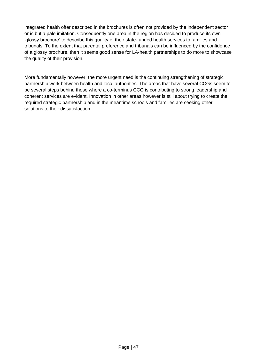integrated health offer described in the brochures is often not provided by the independent sector or is but a pale imitation. Consequently one area in the region has decided to produce its own 'glossy brochure' to describe this quality of their state-funded health services to families and tribunals. To the extent that parental preference and tribunals can be influenced by the confidence of a glossy brochure, then it seems good sense for LA-health partnerships to do more to showcase the quality of their provision.

More fundamentally however, the more urgent need is the continuing strengthening of strategic partnership work between health and local authorities. The areas that have several CCGs seem to be several steps behind those where a co-terminus CCG is contributing to strong leadership and coherent services are evident. Innovation in other areas however is still about trying to create the required strategic partnership and in the meantime schools and families are seeking other solutions to their dissatisfaction.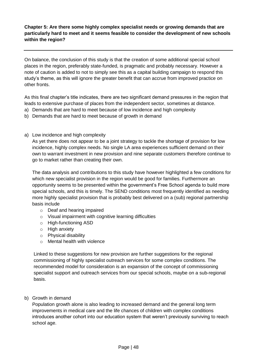## **Chapter 5: Are there some highly complex specialist needs or growing demands that are particularly hard to meet and it seems feasible to consider the development of new schools within the region?**

On balance, the conclusion of this study is that the creation of some additional special school places in the region, preferably state-funded, is pragmatic and probably necessary. However a note of caution is added to not to simply see this as a capital building campaign to respond this study's theme, as this will ignore the greater benefit that can accrue from improved practice on other fronts.

As this final chapter's title indicates, there are two significant demand pressures in the region that leads to extensive purchase of places from the independent sector, sometimes at distance.

- a) Demands that are hard to meet because of low incidence and high complexity
- b) Demands that are hard to meet because of growth in demand
- a) Low incidence and high complexity

As yet there does not appear to be a joint strategy to tackle the shortage of provision for low incidence, highly complex needs. No single LA area experiences sufficient demand on their own to warrant investment in new provision and nine separate customers therefore continue to go to market rather than creating their own.

The data analysis and contributions to this study have however highlighted a few conditions for which new specialist provision in the region would be good for families. Furthermore an opportunity seems to be presented within the government's Free School agenda to build more special schools, and this is timely. The SEND conditions most frequently identified as needing more highly specialist provision that is probably best delivered on a (sub) regional partnership basis include

- o Deaf and hearing impaired
- o Visual impairment with cognitive learning difficulties
- o High-functioning ASD
- o High anxiety
- o Physical disability
- o Mental health with violence

Linked to these suggestions for new provision are further suggestions for the regional commissioning of highly specialist outreach services for some complex conditions. The recommended model for consideration is an expansion of the concept of commissioning specialist support and outreach services from our special schools, maybe on a sub-regional basis.

b) Growth in demand

Population growth alone is also leading to increased demand and the general long term improvements in medical care and the life chances of children with complex conditions introduces another cohort into our education system that weren't previously surviving to reach school age.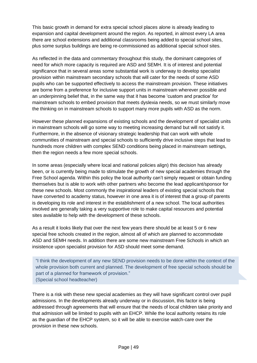This basic growth in demand for extra special school places alone is already leading to expansion and capital development around the region. As reported, in almost every LA area there are school extensions and additional classrooms being added to special school sites, plus some surplus buildings are being re-commissioned as additional special school sites.

As reflected in the data and commentary throughout this study, the dominant categories of need for which more capacity is required are ASD and SEMH. It is of interest and potential significance that in several areas some substantial work is underway to develop specialist provision within mainstream secondary schools that will cater for the needs of some ASD pupils who can be supported effectively to access the mainstream provision. These initiatives are borne from a preference for inclusive support units in mainstream wherever possible and an underpinning belief that, in the same way that it has become 'custom and practice' for mainstream schools to embed provision that meets dyslexia needs, so we must similarly move the thinking on in mainstream schools to support many more pupils with ASD as the norm.

However these planned expansions of existing schools and the development of specialist units in mainstream schools will go some way to meeting increasing demand but will not satisfy it. Furthermore, in the absence of visionary strategic leadership that can work with whole communities of mainstream and special schools to sufficiently drive inclusive steps that lead to hundreds more children with complex SEND conditions being placed in mainstream settings, then the region needs a few more special schools.

In some areas (especially where local and national policies align) this decision has already been, or is currently being made to stimulate the growth of new special academies through the Free School agenda. Within this policy the local authority can't simply request or obtain funding themselves but is able to work with other partners who become the lead applicant/sponsor for these new schools. Most commonly the inspirational leaders of existing special schools that have converted to academy status, however in one area it is of interest that a group of parents is developing its role and interest in the establishment of a new school. The local authorities involved are generally taking a very supportive role to make capital resources and potential sites available to help with the development of these schools.

As a result it looks likely that over the next few years there should be at least 5 or 6 new special free schools created in the region, almost all of which are planned to accommodate ASD and SEMH needs. In addition there are some new mainstream Free Schools in which an insistence upon specialist provision for ASD should meet some demand.

"I think the development of any new SEND provision needs to be done within the context of the whole provision both current and planned. The development of free special schools should be part of a planned for framework of provision." (Special school headteacher)

There is a risk with these new special academies as they will have significant control over pupil admissions. In the developments already underway or in discussion, this factor is being addressed through agreements that will ensure that the needs of local children take priority and that admission will be limited to pupils with an EHCP. While the local authority retains its role as the guardian of the EHCP system, so it will be able to exercise watch-care over the provision in these new schools.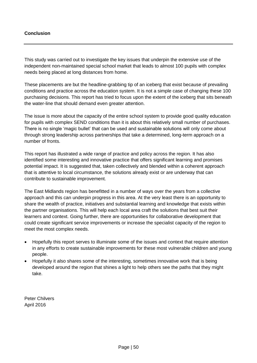# **Conclusion**

This study was carried out to investigate the key issues that underpin the extensive use of the independent non-maintained special school market that leads to almost 100 pupils with complex needs being placed at long distances from home.

These placements are but the headline-grabbing tip of an iceberg that exist because of prevailing conditions and practice across the education system. It is not a simple case of changing these 100 purchasing decisions. This report has tried to focus upon the extent of the iceberg that sits beneath the water-line that should demand even greater attention.

The issue is more about the capacity of the entire school system to provide good quality education for pupils with complex SEND conditions than it is about this relatively small number of purchases. There is no single 'magic bullet' that can be used and sustainable solutions will only come about through strong leadership across partnerships that take a determined, long-term approach on a number of fronts.

This report has illustrated a wide range of practice and policy across the region. It has also identified some interesting and innovative practice that offers significant learning and promises potential impact. It is suggested that, taken collectively and blended within a coherent approach that is attentive to local circumstance, the solutions already exist or are underway that can contribute to sustainable improvement.

The East Midlands region has benefitted in a number of ways over the years from a collective approach and this can underpin progress in this area. At the very least there is an opportunity to share the wealth of practice, initiatives and substantial learning and knowledge that exists within the partner organisations. This will help each local area craft the solutions that best suit their learners and context. Going further, there are opportunities for collaborative development that could create significant service improvements or increase the specialist capacity of the region to meet the most complex needs.

- Hopefully this report serves to illuminate some of the issues and context that require attention in any efforts to create sustainable improvements for these most vulnerable children and young people.
- Hopefully it also shares some of the interesting, sometimes innovative work that is being developed around the region that shines a light to help others see the paths that they might take.

Peter Chilvers April 2016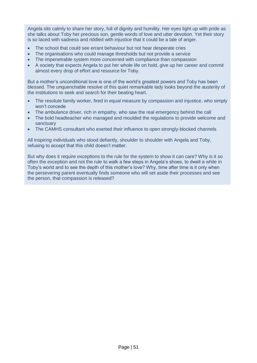Angela sits calmly to share her story, full of dignity and humility. Her eyes light up with pride as she talks about Toby her precious son, gentle words of love and utter devotion. Yet their story is so laced with sadness and riddled with injustice that it could be a tale of anger.

- The school that could see errant behaviour but not hear desperate cries
- The organisations who could manage thresholds but not provide a service
- The impenetrable system more concerned with compliance than compassion
- A society that expects Angela to put her whole life on hold, give up her career and commit almost every drop of effort and resource for Toby.

But a mother's unconditional love is one of the world's greatest powers and Toby has been blessed. The unquenchable resolve of this quiet remarkable lady looks beyond the austerity of the institutions to seek and search for their beating heart.

- The resolute family worker, fired in equal measure by compassion and injustice, who simply won't concede
- The ambulance driver, rich in empathy, who saw the real emergency behind the call
- The bold headteacher who managed and moulded the regulations to provide welcome and sanctuary
- The CAMHS consultant who exerted their influence to open strongly-blocked channels

All inspiring individuals who stood defiantly, shoulder to shoulder with Angela and Toby, refusing to accept that this child doesn't matter.

But why does it require exceptions to the rule for the system to show it can care? Why is it so often the exception and not the rule to walk a few steps in Angela's shoes, to dwell a while in Toby's world and to see the depth of this mother's love? Why, time after time is it only when the persevering parent eventually finds someone who will set aside their processes and see the person, that compassion is released?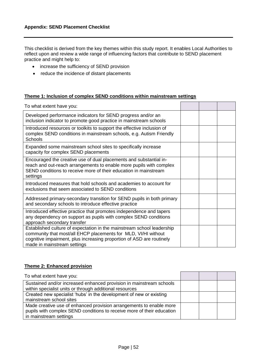This checklist is derived from the key themes within this study report. It enables Local Authorities to reflect upon and review a wide range of influencing factors that contribute to SEND placement practice and might help to:

- increase the sufficiency of SEND provision
- reduce the incidence of distant placements

#### **Theme 1: Inclusion of complex SEND conditions within mainstream settings**

| To what extent have you:                                                                                                                                                                                                                         |  |  |
|--------------------------------------------------------------------------------------------------------------------------------------------------------------------------------------------------------------------------------------------------|--|--|
| Developed performance indicators for SEND progress and/or an<br>inclusion indicator to promote good practice in mainstream schools                                                                                                               |  |  |
| Introduced resources or toolkits to support the effective inclusion of<br>complex SEND conditions in mainstream schools, e.g. Autism Friendly<br><b>Schools</b>                                                                                  |  |  |
| Expanded some mainstream school sites to specifically increase<br>capacity for complex SEND placements                                                                                                                                           |  |  |
| Encouraged the creative use of dual placements and substantial in-<br>reach and out-reach arrangements to enable more pupils with complex<br>SEND conditions to receive more of their education in mainstream<br>settings                        |  |  |
| Introduced measures that hold schools and academies to account for<br>exclusions that seem associated to SEND conditions                                                                                                                         |  |  |
| Addressed primary-secondary transition for SEND pupils in both primary<br>and secondary schools to introduce effective practice                                                                                                                  |  |  |
| Introduced effective practice that promotes independence and tapers<br>any dependency on support as pupils with complex SEND conditions<br>approach secondary transfer                                                                           |  |  |
| Established culture of expectation in the mainstream school leadership<br>community that most/all EHCP placements for MLD, VI/HI without<br>cognitive impairment, plus increasing proportion of ASD are routinely<br>made in mainstream settings |  |  |

## **Theme 2: Enhanced provision**

| To what extent have you:                                                                                                                                                |  |  |
|-------------------------------------------------------------------------------------------------------------------------------------------------------------------------|--|--|
| Sustained and/or increased enhanced provision in mainstream schools<br>within specialist units or through additional resources                                          |  |  |
| Created new specialist 'hubs' in the development of new or existing<br>mainstream school sites                                                                          |  |  |
| Made creative use of enhanced provision arrangements to enable more<br>pupils with complex SEND conditions to receive more of their education<br>in mainstream settings |  |  |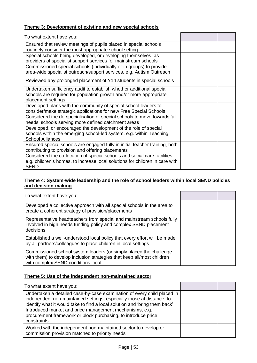# **Theme 3: Development of existing and new special schools**

| To what extent have you:                                                                    |  |  |
|---------------------------------------------------------------------------------------------|--|--|
| Ensured that review meetings of pupils placed in special schools                            |  |  |
| routinely consider the most appropriate school setting                                      |  |  |
| Special schools being developed, or developing themselves, as                               |  |  |
| providers of specialist support services for mainstream schools                             |  |  |
| Commissioned special schools (individually or in groups) to provide                         |  |  |
| area-wide specialist outreach/support services, e.g. Autism Outreach                        |  |  |
| Reviewed any prolonged placement of Y14 students in special schools                         |  |  |
| Undertaken sufficiency audit to establish whether additional special                        |  |  |
| schools are required for population growth and/or more appropriate                          |  |  |
| placement settings                                                                          |  |  |
| Developed plans with the community of special school leaders to                             |  |  |
| consider/make strategic applications for new Free Special Schools                           |  |  |
| Considered the de-specialisation of special schools to move towards 'all                    |  |  |
| needs' schools serving more defined catchment areas                                         |  |  |
| Developed, or encouraged the development of the role of special                             |  |  |
| schools within the emerging school-led system, e.g. within Teaching                         |  |  |
| <b>School Alliances</b>                                                                     |  |  |
| Ensured special schools are engaged fully in initial teacher training, both                 |  |  |
| contributing to provision and offering placements                                           |  |  |
| Considered the co-location of special schools and social care facilities,                   |  |  |
| e.g. children's homes, to increase local solutions for children in care with<br><b>SEND</b> |  |  |

## **Theme 4: System-wide leadership and the role of school leaders within local SEND policies and decision-making**

| To what extent have you:                                                                                                                                                           |  |  |
|------------------------------------------------------------------------------------------------------------------------------------------------------------------------------------|--|--|
| Developed a collective approach with all special schools in the area to<br>create a coherent strategy of provision/placements                                                      |  |  |
| Representative headteachers from special and mainstream schools fully<br>involved in high needs funding policy and complex SEND placement<br>decisions                             |  |  |
| Established a well-understood local policy that every effort will be made<br>by all partners/colleagues to place children in local settings                                        |  |  |
| Commissioned school system leaders (or simply placed the challenge<br>with them) to develop inclusion strategies that keep all/most children<br>with complex SEND conditions local |  |  |

## **Theme 5: Use of the independent non-maintained sector**

| To what extent have you:                                                                                                                                                                                                       |  |  |
|--------------------------------------------------------------------------------------------------------------------------------------------------------------------------------------------------------------------------------|--|--|
| Undertaken a detailed case-by-case examination of every child placed in<br>independent non-maintained settings, especially those at distance, to<br>identify what it would take to find a local solution and 'bring them back' |  |  |
| Introduced market and price management mechanisms, e.g.<br>procurement framework or block purchasing, to introduce price<br>constraints                                                                                        |  |  |
| Worked with the independent non-maintained sector to develop or<br>commission provision matched to priority needs                                                                                                              |  |  |